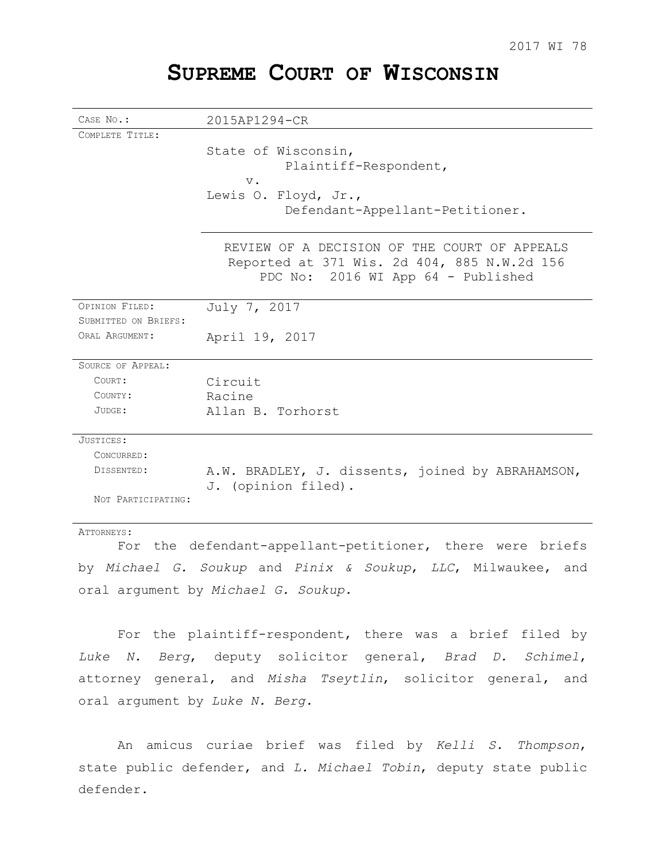# **SUPREME COURT OF WISCONSIN**

| CASE No.:            | 2015AP1294-CR                                    |
|----------------------|--------------------------------------------------|
| COMPLETE TITLE:      |                                                  |
|                      | State of Wisconsin,                              |
|                      | Plaintiff-Respondent,                            |
|                      | $V$ .                                            |
|                      | Lewis O. Floyd, Jr.,                             |
|                      | Defendant-Appellant-Petitioner.                  |
|                      |                                                  |
|                      | REVIEW OF A DECISION OF THE COURT OF APPEALS     |
|                      | Reported at 371 Wis. 2d 404, 885 N.W.2d 156      |
|                      | PDC No: 2016 WI App 64 - Published               |
|                      |                                                  |
| OPINION FILED:       | July 7, 2017                                     |
| SUBMITTED ON BRIEFS: |                                                  |
| ORAL ARGUMENT:       | April 19, 2017                                   |
|                      |                                                  |
| SOURCE OF APPEAL:    |                                                  |
| COURT:               | Circuit                                          |
| COUNTY:              | Racine                                           |
| JUDGE:               | Allan B. Torhorst                                |
|                      |                                                  |
| JUSTICES:            |                                                  |
| CONCURRED:           |                                                  |
| DISSENTED:           | A.W. BRADLEY, J. dissents, joined by ABRAHAMSON, |
|                      | J. (opinion filed).                              |
| NOT PARTICIPATING:   |                                                  |
|                      |                                                  |
| ATTORNEYS:           |                                                  |

For the defendant-appellant-petitioner, there were briefs by *Michael G. Soukup* and *Pinix & Soukup*, *LLC*, Milwaukee, and oral argument by *Michael G. Soukup.*

For the plaintiff-respondent, there was a brief filed by *Luke N. Berg*, deputy solicitor general, *Brad D. Schimel*, attorney general, and *Misha Tseytlin*, solicitor general, and oral argument by *Luke N. Berg.*

An amicus curiae brief was filed by *Kelli S. Thompson*, state public defender, and *L. Michael Tobin*, deputy state public defender.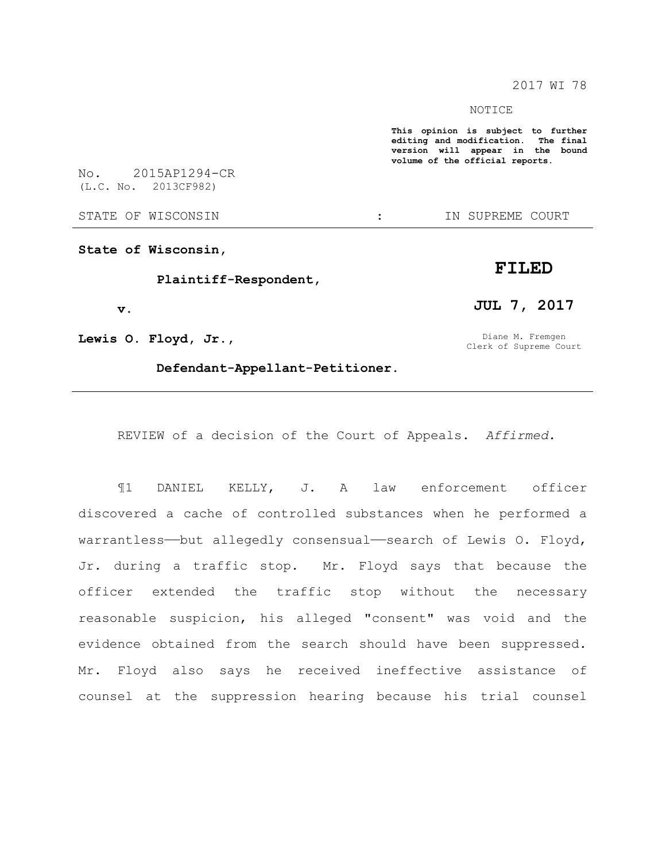2017 WI 78

#### NOTICE

**This opinion is subject to further editing and modification. The final version will appear in the bound volume of the official reports.** 

No. 2015AP1294-CR (L.C. No. 2013CF982)

STATE OF WISCONSIN THE STATE OF WISCONSIN THE STATE OF STATE OF STATE OF STATE OF STATE OF STATE OF STATE OF STATE OF STATE OF STATE OF STATE OF STATE OF STATE OF STATE OF STATE OF STATE OF STATE OF STATE OF STATE OF STATE

**State of Wisconsin,** 

**Plaintiff-Respondent,** 

**v.**

**Lewis O. Floyd, Jr.,** 

**Defendant-Appellant-Petitioner.** 

REVIEW of a decision of the Court of Appeals. *Affirmed.*

¶1 DANIEL KELLY, J. A law enforcement officer discovered a cache of controlled substances when he performed a warrantless—but allegedly consensual—search of Lewis O. Floyd, Jr. during a traffic stop. Mr. Floyd says that because the officer extended the traffic stop without the necessary reasonable suspicion, his alleged "consent" was void and the evidence obtained from the search should have been suppressed. Mr. Floyd also says he received ineffective assistance of counsel at the suppression hearing because his trial counsel

## **FILED**

**JUL 7, 2017**

Diane M. Fremgen Clerk of Supreme Court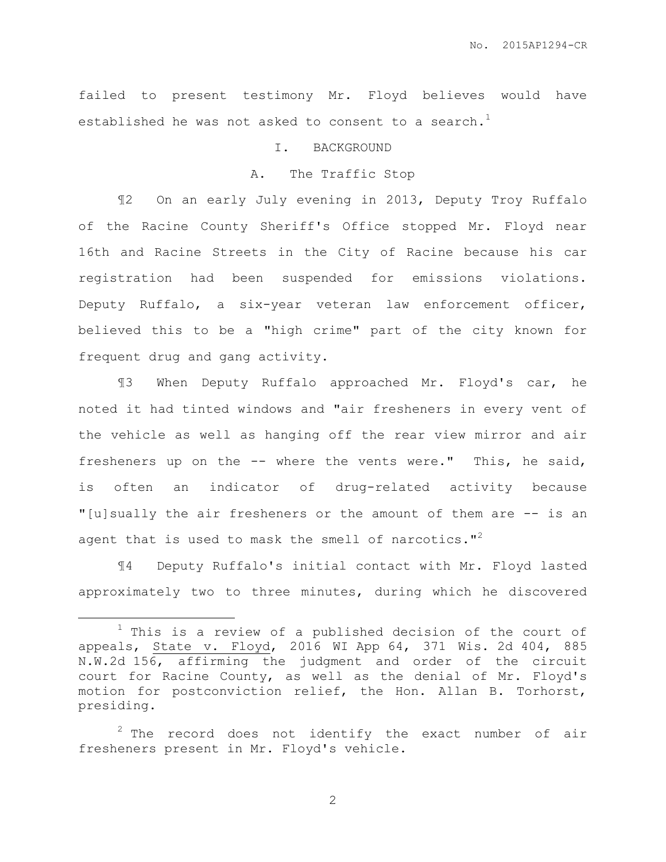failed to present testimony Mr. Floyd believes would have established he was not asked to consent to a search.<sup>1</sup>

#### I. BACKGROUND

#### A. The Traffic Stop

¶2 On an early July evening in 2013, Deputy Troy Ruffalo of the Racine County Sheriff's Office stopped Mr. Floyd near 16th and Racine Streets in the City of Racine because his car registration had been suspended for emissions violations. Deputy Ruffalo, a six-year veteran law enforcement officer, believed this to be a "high crime" part of the city known for frequent drug and gang activity.

¶3 When Deputy Ruffalo approached Mr. Floyd's car, he noted it had tinted windows and "air fresheners in every vent of the vehicle as well as hanging off the rear view mirror and air fresheners up on the -- where the vents were." This, he said, is often an indicator of drug-related activity because "[u]sually the air fresheners or the amount of them are -- is an agent that is used to mask the smell of narcotics."<sup>2</sup>

¶4 Deputy Ruffalo's initial contact with Mr. Floyd lasted approximately two to three minutes, during which he discovered

 $\overline{a}$ 

 $1$  This is a review of a published decision of the court of appeals, State v. Floyd, 2016 WI App 64, 371 Wis. 2d 404, 885 N.W.2d 156, affirming the judgment and order of the circuit court for Racine County, as well as the denial of Mr. Floyd's motion for postconviction relief, the Hon. Allan B. Torhorst, presiding.

 $2$  The record does not identify the exact number of air fresheners present in Mr. Floyd's vehicle.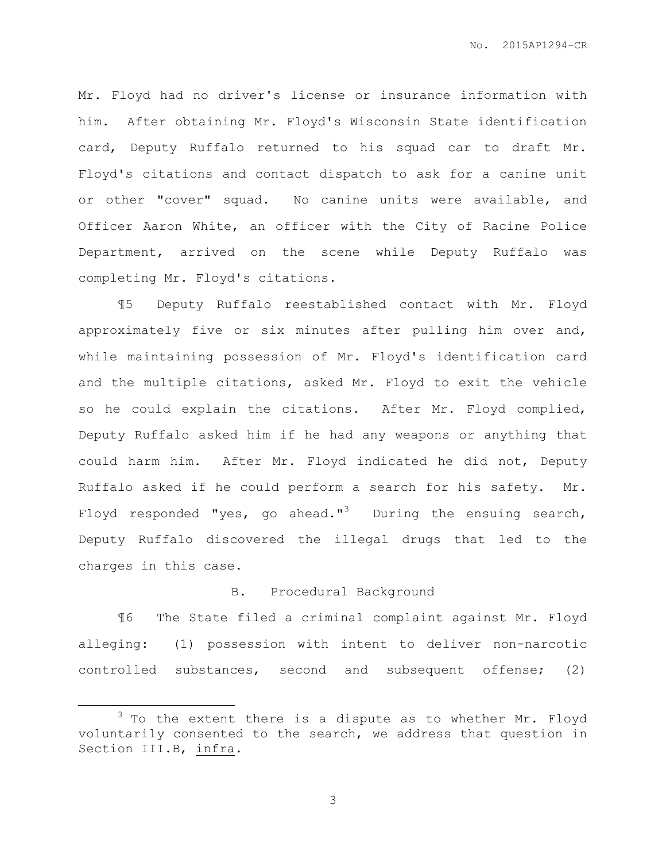Mr. Floyd had no driver's license or insurance information with him. After obtaining Mr. Floyd's Wisconsin State identification card, Deputy Ruffalo returned to his squad car to draft Mr. Floyd's citations and contact dispatch to ask for a canine unit or other "cover" squad. No canine units were available, and Officer Aaron White, an officer with the City of Racine Police Department, arrived on the scene while Deputy Ruffalo was completing Mr. Floyd's citations.

¶5 Deputy Ruffalo reestablished contact with Mr. Floyd approximately five or six minutes after pulling him over and, while maintaining possession of Mr. Floyd's identification card and the multiple citations, asked Mr. Floyd to exit the vehicle so he could explain the citations. After Mr. Floyd complied, Deputy Ruffalo asked him if he had any weapons or anything that could harm him. After Mr. Floyd indicated he did not, Deputy Ruffalo asked if he could perform a search for his safety. Mr. Floyd responded "yes, go ahead."<sup>3</sup> During the ensuing search, Deputy Ruffalo discovered the illegal drugs that led to the charges in this case.

### B. Procedural Background

¶6 The State filed a criminal complaint against Mr. Floyd alleging: (1) possession with intent to deliver non-narcotic controlled substances, second and subsequent offense; (2)

 $\overline{a}$ 

 $3$  To the extent there is a dispute as to whether Mr. Floyd voluntarily consented to the search, we address that question in Section III.B, infra.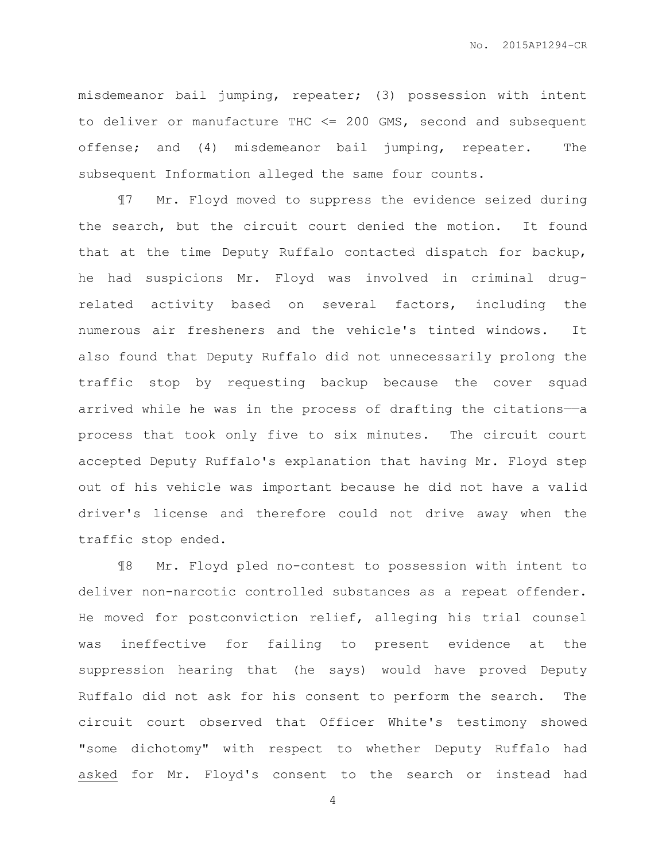misdemeanor bail jumping, repeater; (3) possession with intent to deliver or manufacture THC <= 200 GMS, second and subsequent offense; and (4) misdemeanor bail jumping, repeater. The subsequent Information alleged the same four counts.

¶7 Mr. Floyd moved to suppress the evidence seized during the search, but the circuit court denied the motion. It found that at the time Deputy Ruffalo contacted dispatch for backup, he had suspicions Mr. Floyd was involved in criminal drugrelated activity based on several factors, including the numerous air fresheners and the vehicle's tinted windows. It also found that Deputy Ruffalo did not unnecessarily prolong the traffic stop by requesting backup because the cover squad arrived while he was in the process of drafting the citations—a process that took only five to six minutes. The circuit court accepted Deputy Ruffalo's explanation that having Mr. Floyd step out of his vehicle was important because he did not have a valid driver's license and therefore could not drive away when the traffic stop ended.

¶8 Mr. Floyd pled no-contest to possession with intent to deliver non-narcotic controlled substances as a repeat offender. He moved for postconviction relief, alleging his trial counsel was ineffective for failing to present evidence at the suppression hearing that (he says) would have proved Deputy Ruffalo did not ask for his consent to perform the search. The circuit court observed that Officer White's testimony showed "some dichotomy" with respect to whether Deputy Ruffalo had asked for Mr. Floyd's consent to the search or instead had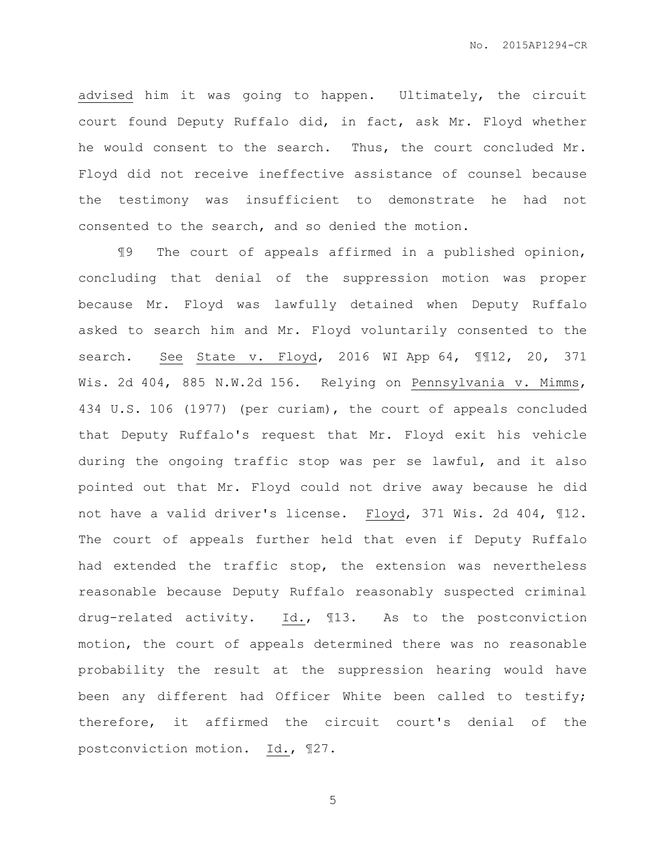advised him it was going to happen. Ultimately, the circuit court found Deputy Ruffalo did, in fact, ask Mr. Floyd whether he would consent to the search. Thus, the court concluded Mr. Floyd did not receive ineffective assistance of counsel because the testimony was insufficient to demonstrate he had not consented to the search, and so denied the motion.

¶9 The court of appeals affirmed in a published opinion, concluding that denial of the suppression motion was proper because Mr. Floyd was lawfully detained when Deputy Ruffalo asked to search him and Mr. Floyd voluntarily consented to the search. See State v. Floyd, 2016 WI App 64, ¶¶12, 20, 371 Wis. 2d 404, 885 N.W.2d 156. Relying on Pennsylvania v. Mimms, 434 U.S. 106 (1977) (per curiam), the court of appeals concluded that Deputy Ruffalo's request that Mr. Floyd exit his vehicle during the ongoing traffic stop was per se lawful, and it also pointed out that Mr. Floyd could not drive away because he did not have a valid driver's license. Floyd, 371 Wis. 2d 404, ¶12. The court of appeals further held that even if Deputy Ruffalo had extended the traffic stop, the extension was nevertheless reasonable because Deputy Ruffalo reasonably suspected criminal drug-related activity. Id., ¶13. As to the postconviction motion, the court of appeals determined there was no reasonable probability the result at the suppression hearing would have been any different had Officer White been called to testify; therefore, it affirmed the circuit court's denial of the postconviction motion. Id., ¶27.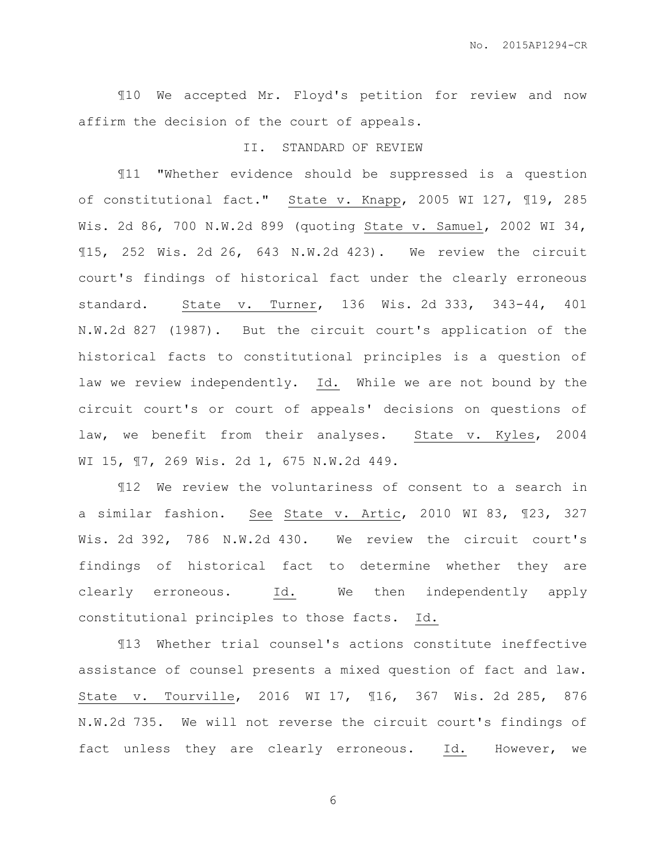¶10 We accepted Mr. Floyd's petition for review and now affirm the decision of the court of appeals.

#### II. STANDARD OF REVIEW

¶11 "Whether evidence should be suppressed is a question of constitutional fact." State v. Knapp, 2005 WI 127, 119, 285 Wis. 2d 86, 700 N.W.2d 899 (quoting State v. Samuel, 2002 WI 34, ¶15, 252 Wis. 2d 26, 643 N.W.2d 423). We review the circuit court's findings of historical fact under the clearly erroneous standard. State v. Turner, 136 Wis. 2d 333, 343-44, 401 N.W.2d 827 (1987). But the circuit court's application of the historical facts to constitutional principles is a question of law we review independently. Id. While we are not bound by the circuit court's or court of appeals' decisions on questions of law, we benefit from their analyses. State v. Kyles, 2004 WI 15, ¶7, 269 Wis. 2d 1, 675 N.W.2d 449.

¶12 We review the voluntariness of consent to a search in a similar fashion. See State v. Artic, 2010 WI 83, ¶23, 327 Wis. 2d 392, 786 N.W.2d 430. We review the circuit court's findings of historical fact to determine whether they are clearly erroneous. Id. We then independently apply constitutional principles to those facts. Id.

¶13 Whether trial counsel's actions constitute ineffective assistance of counsel presents a mixed question of fact and law. State v. Tourville, 2016 WI 17, ¶16, 367 Wis. 2d 285, 876 N.W.2d 735. We will not reverse the circuit court's findings of fact unless they are clearly erroneous. Id. However, we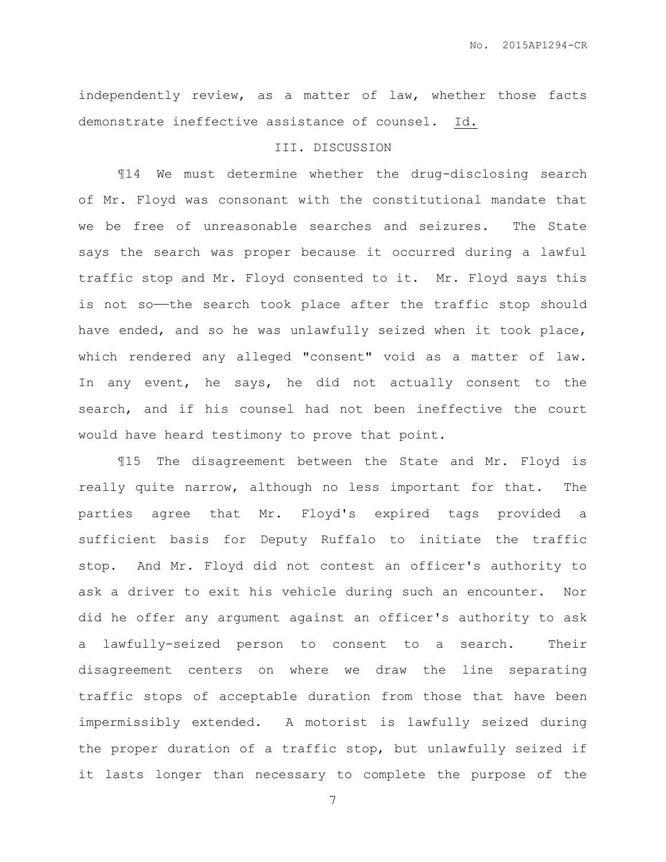independently review, as a matter of law, whether those facts demonstrate ineffective assistance of counsel. Id.

## III. DISCUSSION

¶14 We must determine whether the drug-disclosing search of Mr. Floyd was consonant with the constitutional mandate that we be free of unreasonable searches and seizures. The State says the search was proper because it occurred during a lawful traffic stop and Mr. Floyd consented to it. Mr. Floyd says this is not so-the search took place after the traffic stop should have ended, and so he was unlawfully seized when it took place, which rendered any alleged "consent" void as a matter of law. In any event, he says, he did not actually consent to the search, and if his counsel had not been ineffective the court would have heard testimony to prove that point.

¶15 The disagreement between the State and Mr. Floyd is really quite narrow, although no less important for that. The parties agree that Mr. Floyd's expired tags provided a sufficient basis for Deputy Ruffalo to initiate the traffic stop. And Mr. Floyd did not contest an officer's authority to ask a driver to exit his vehicle during such an encounter. Nor did he offer any argument against an officer's authority to ask a lawfully-seized person to consent to a search. Their disagreement centers on where we draw the line separating traffic stops of acceptable duration from those that have been impermissibly extended. A motorist is lawfully seized during the proper duration of a traffic stop, but unlawfully seized if it lasts longer than necessary to complete the purpose of the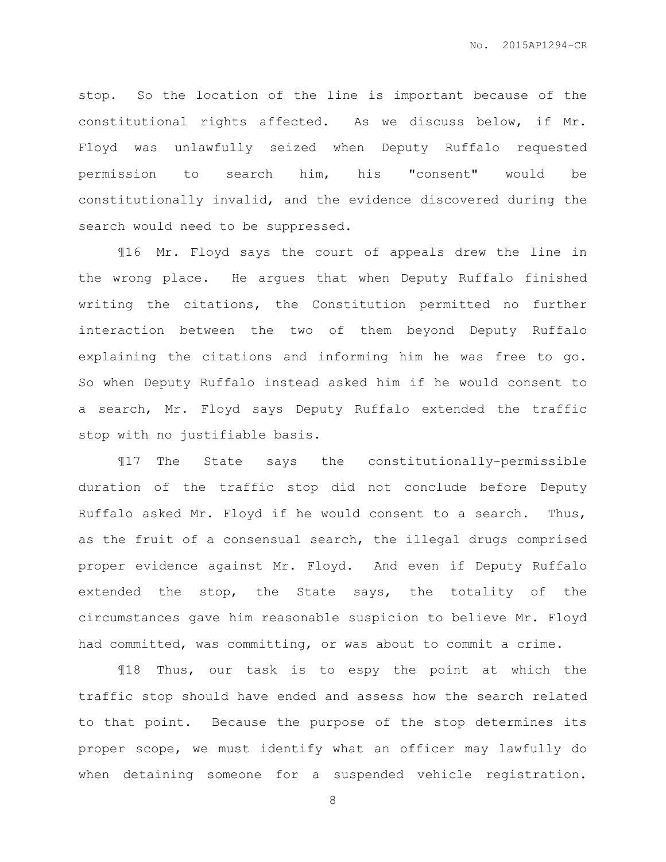stop. So the location of the line is important because of the constitutional rights affected. As we discuss below, if Mr. Floyd was unlawfully seized when Deputy Ruffalo requested permission to search him, his "consent" would be constitutionally invalid, and the evidence discovered during the search would need to be suppressed.

¶16 Mr. Floyd says the court of appeals drew the line in the wrong place. He argues that when Deputy Ruffalo finished writing the citations, the Constitution permitted no further interaction between the two of them beyond Deputy Ruffalo explaining the citations and informing him he was free to go. So when Deputy Ruffalo instead asked him if he would consent to a search, Mr. Floyd says Deputy Ruffalo extended the traffic stop with no justifiable basis.

¶17 The State says the constitutionally-permissible duration of the traffic stop did not conclude before Deputy Ruffalo asked Mr. Floyd if he would consent to a search. Thus, as the fruit of a consensual search, the illegal drugs comprised proper evidence against Mr. Floyd. And even if Deputy Ruffalo extended the stop, the State says, the totality of the circumstances gave him reasonable suspicion to believe Mr. Floyd had committed, was committing, or was about to commit a crime.

¶18 Thus, our task is to espy the point at which the traffic stop should have ended and assess how the search related to that point. Because the purpose of the stop determines its proper scope, we must identify what an officer may lawfully do when detaining someone for a suspended vehicle registration.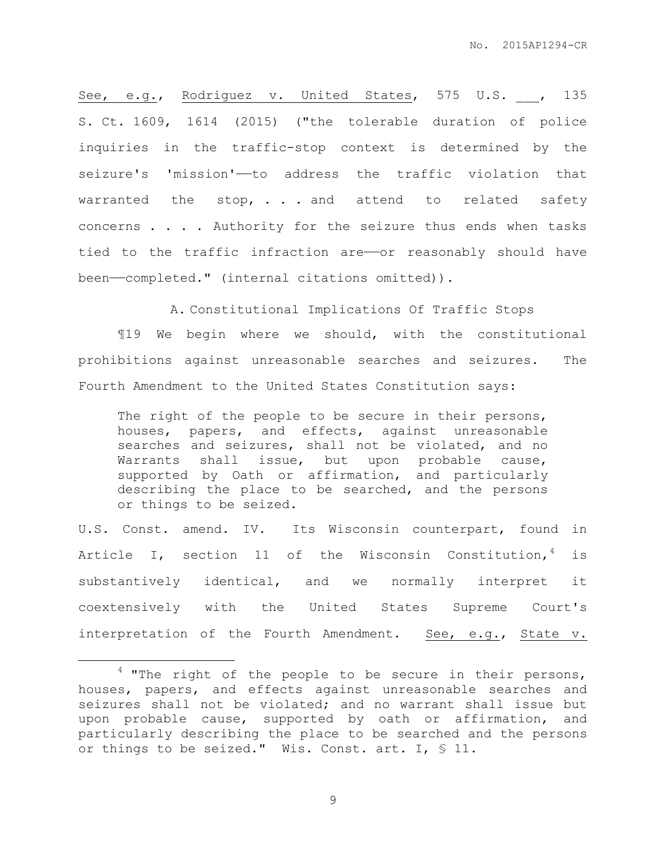See, e.g., Rodriguez v. United States, 575 U.S. , 135 S. Ct. 1609, 1614 (2015) ("the tolerable duration of police inquiries in the traffic-stop context is determined by the seizure's 'mission'—to address the traffic violation that warranted the stop, . . . and attend to related safety concerns . . . . Authority for the seizure thus ends when tasks tied to the traffic infraction are—or reasonably should have been——completed." (internal citations omitted)).

A. Constitutional Implications Of Traffic Stops

¶19 We begin where we should, with the constitutional prohibitions against unreasonable searches and seizures. The Fourth Amendment to the United States Constitution says:

The right of the people to be secure in their persons, houses, papers, and effects, against unreasonable searches and seizures, shall not be violated, and no Warrants shall issue, but upon probable cause, supported by Oath or affirmation, and particularly describing the place to be searched, and the persons or things to be seized.

U.S. Const. amend. IV. Its Wisconsin counterpart, found in Article I, section 11 of the Wisconsin Constitution,  $4$  is substantively identical, and we normally interpret it coextensively with the United States Supreme Court's interpretation of the Fourth Amendment. See, e.g., State v.

 $\overline{a}$ 

 $4$  "The right of the people to be secure in their persons, houses, papers, and effects against unreasonable searches and seizures shall not be violated; and no warrant shall issue but upon probable cause, supported by oath or affirmation, and particularly describing the place to be searched and the persons or things to be seized." Wis. Const. art. I, § 11.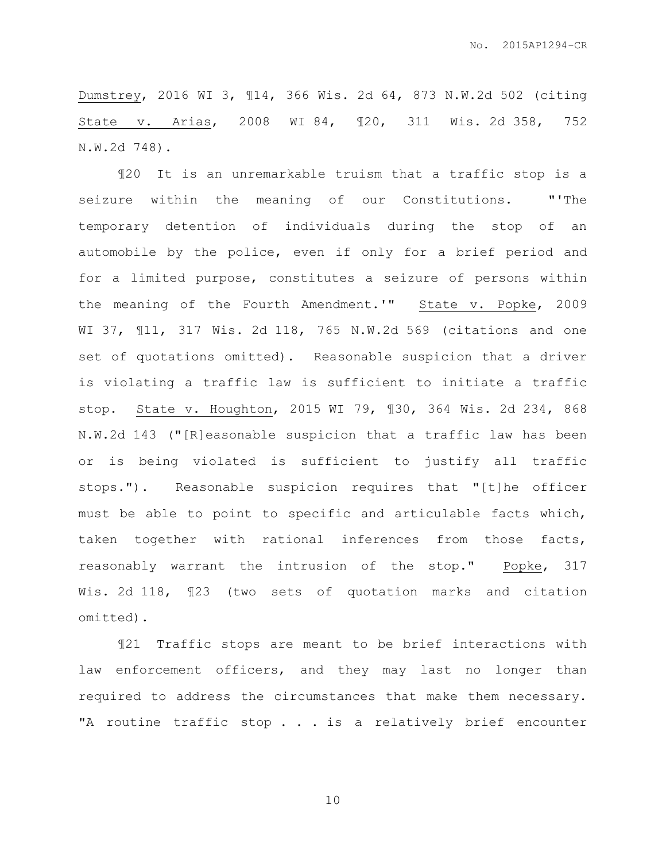Dumstrey, 2016 WI 3, ¶14, 366 Wis. 2d 64, 873 N.W.2d 502 (citing State v. Arias, 2008 WI 84, ¶20, 311 Wis. 2d 358, 752 N.W.2d 748).

¶20 It is an unremarkable truism that a traffic stop is a seizure within the meaning of our Constitutions. "'The temporary detention of individuals during the stop of an automobile by the police, even if only for a brief period and for a limited purpose, constitutes a seizure of persons within the meaning of the Fourth Amendment.'" State v. Popke, 2009 WI 37, ¶11, 317 Wis. 2d 118, 765 N.W.2d 569 (citations and one set of quotations omitted). Reasonable suspicion that a driver is violating a traffic law is sufficient to initiate a traffic stop. State v. Houghton, 2015 WI 79, ¶30, 364 Wis. 2d 234, 868 N.W.2d 143 ("[R]easonable suspicion that a traffic law has been or is being violated is sufficient to justify all traffic stops."). Reasonable suspicion requires that "[t]he officer must be able to point to specific and articulable facts which, taken together with rational inferences from those facts, reasonably warrant the intrusion of the stop." Popke, 317 Wis. 2d 118, ¶23 (two sets of quotation marks and citation omitted).

¶21 Traffic stops are meant to be brief interactions with law enforcement officers, and they may last no longer than required to address the circumstances that make them necessary. "A routine traffic stop . . . is a relatively brief encounter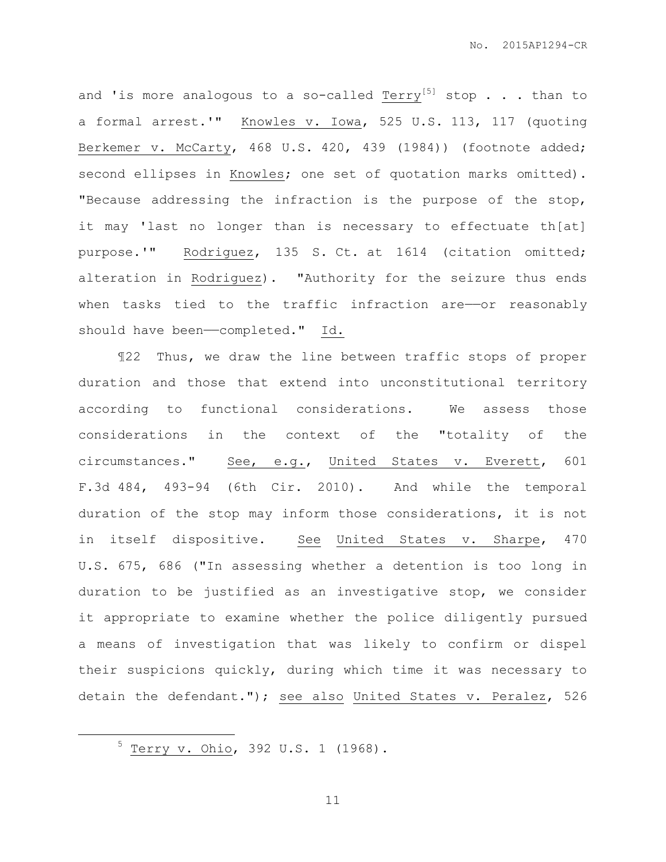and 'is more analogous to a so-called Terry<sup>[5]</sup> stop . . . than to a formal arrest.'" Knowles v. Iowa, 525 U.S. 113, 117 (quoting Berkemer v. McCarty, 468 U.S. 420, 439 (1984)) (footnote added; second ellipses in Knowles; one set of quotation marks omitted). "Because addressing the infraction is the purpose of the stop, it may 'last no longer than is necessary to effectuate th[at] purpose.'" Rodriguez, 135 S. Ct. at 1614 (citation omitted; alteration in Rodriguez). "Authority for the seizure thus ends when tasks tied to the traffic infraction are-or reasonably should have been-completed." Id.

¶22 Thus, we draw the line between traffic stops of proper duration and those that extend into unconstitutional territory according to functional considerations. We assess those considerations in the context of the "totality of the circumstances." See, e.g., United States v. Everett, 601 F.3d 484, 493-94 (6th Cir. 2010). And while the temporal duration of the stop may inform those considerations, it is not in itself dispositive. See United States v. Sharpe, 470 U.S. 675, 686 ("In assessing whether a detention is too long in duration to be justified as an investigative stop, we consider it appropriate to examine whether the police diligently pursued a means of investigation that was likely to confirm or dispel their suspicions quickly, during which time it was necessary to detain the defendant."); see also United States v. Peralez, 526

<sup>5</sup> Terry v. Ohio, 392 U.S. 1 (1968).

 $\overline{a}$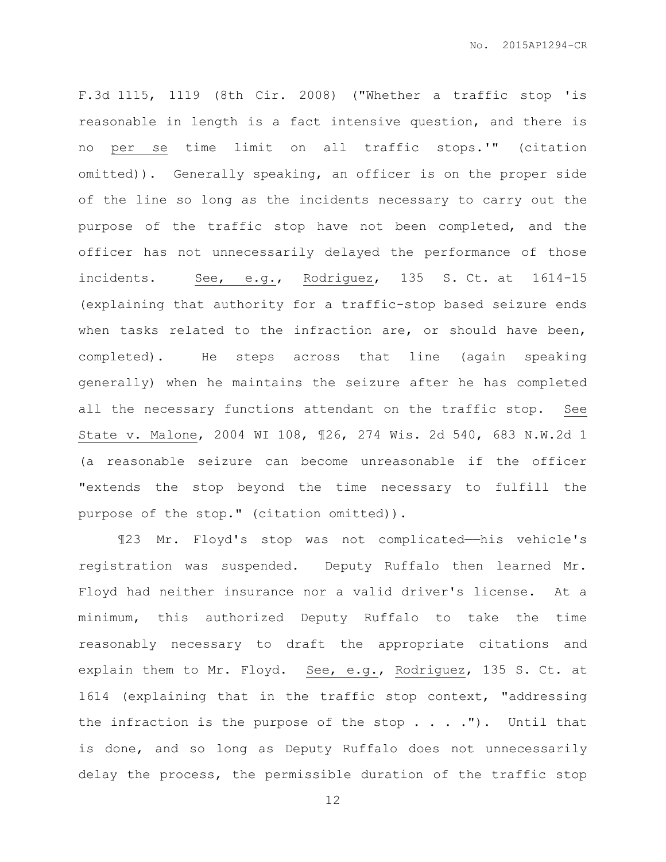F.3d 1115, 1119 (8th Cir. 2008) ("Whether a traffic stop 'is reasonable in length is a fact intensive question, and there is no per se time limit on all traffic stops.'" (citation omitted)). Generally speaking, an officer is on the proper side of the line so long as the incidents necessary to carry out the purpose of the traffic stop have not been completed, and the officer has not unnecessarily delayed the performance of those incidents. See, e.g., Rodriguez, 135 S. Ct. at 1614-15 (explaining that authority for a traffic-stop based seizure ends when tasks related to the infraction are, or should have been, completed). He steps across that line (again speaking generally) when he maintains the seizure after he has completed all the necessary functions attendant on the traffic stop. See State v. Malone, 2004 WI 108, ¶26, 274 Wis. 2d 540, 683 N.W.2d 1 (a reasonable seizure can become unreasonable if the officer "extends the stop beyond the time necessary to fulfill the purpose of the stop." (citation omitted)).

¶23 Mr. Floyd's stop was not complicated——his vehicle's registration was suspended. Deputy Ruffalo then learned Mr. Floyd had neither insurance nor a valid driver's license. At a minimum, this authorized Deputy Ruffalo to take the time reasonably necessary to draft the appropriate citations and explain them to Mr. Floyd. See, e.g., Rodriguez, 135 S. Ct. at 1614 (explaining that in the traffic stop context, "addressing the infraction is the purpose of the stop  $\ldots$  . ."). Until that is done, and so long as Deputy Ruffalo does not unnecessarily delay the process, the permissible duration of the traffic stop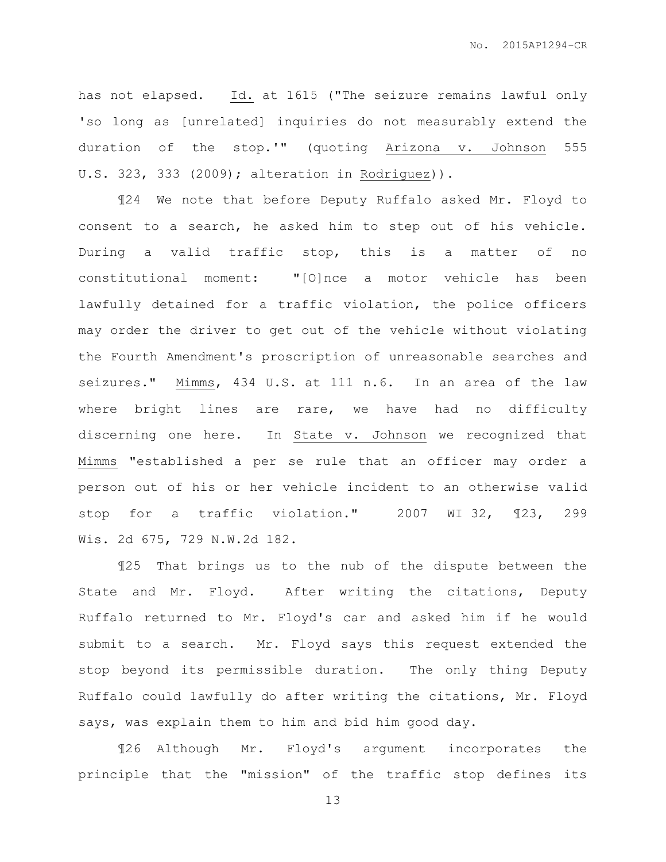has not elapsed. Id. at 1615 ("The seizure remains lawful only 'so long as [unrelated] inquiries do not measurably extend the duration of the stop.'" (quoting Arizona v. Johnson 555 U.S. 323, 333 (2009); alteration in Rodriguez)).

¶24 We note that before Deputy Ruffalo asked Mr. Floyd to consent to a search, he asked him to step out of his vehicle. During a valid traffic stop, this is a matter of no constitutional moment: "[O]nce a motor vehicle has been lawfully detained for a traffic violation, the police officers may order the driver to get out of the vehicle without violating the Fourth Amendment's proscription of unreasonable searches and seizures." Mimms, 434 U.S. at 111 n.6. In an area of the law where bright lines are rare, we have had no difficulty discerning one here. In State v. Johnson we recognized that Mimms "established a per se rule that an officer may order a person out of his or her vehicle incident to an otherwise valid stop for a traffic violation." 2007 WI 32, ¶23, 299 Wis. 2d 675, 729 N.W.2d 182.

¶25 That brings us to the nub of the dispute between the State and Mr. Floyd. After writing the citations, Deputy Ruffalo returned to Mr. Floyd's car and asked him if he would submit to a search. Mr. Floyd says this request extended the stop beyond its permissible duration. The only thing Deputy Ruffalo could lawfully do after writing the citations, Mr. Floyd says, was explain them to him and bid him good day.

¶26 Although Mr. Floyd's argument incorporates the principle that the "mission" of the traffic stop defines its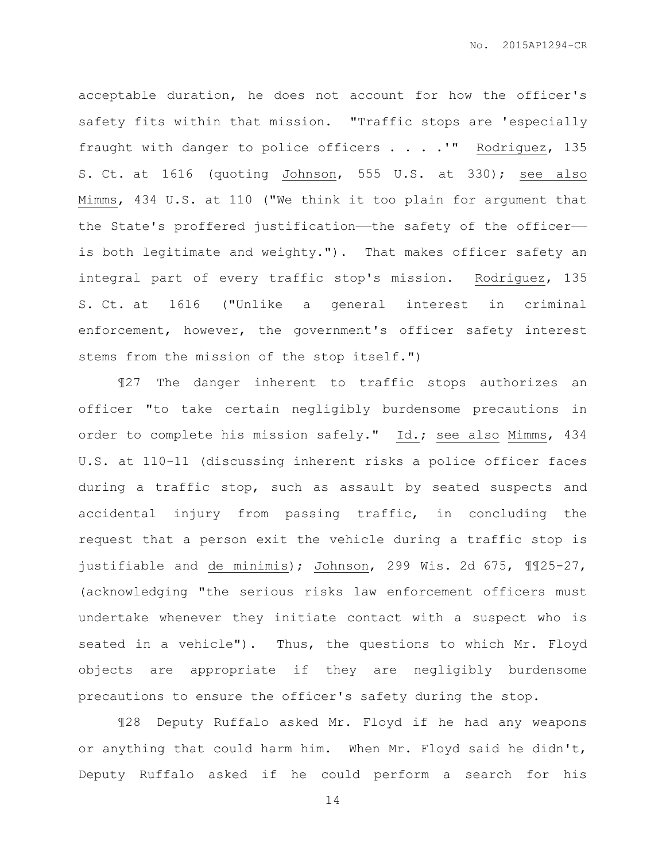acceptable duration, he does not account for how the officer's safety fits within that mission. "Traffic stops are 'especially fraught with danger to police officers . . . .'" Rodriguez, 135 S. Ct. at 1616 (quoting Johnson, 555 U.S. at 330); see also Mimms, 434 U.S. at 110 ("We think it too plain for argument that the State's proffered justification—the safety of the officer is both legitimate and weighty."). That makes officer safety an integral part of every traffic stop's mission. Rodriguez, 135 S. Ct. at 1616 ("Unlike a general interest in criminal enforcement, however, the government's officer safety interest stems from the mission of the stop itself.")

¶27 The danger inherent to traffic stops authorizes an officer "to take certain negligibly burdensome precautions in order to complete his mission safely." Id.; see also Mimms, 434 U.S. at 110-11 (discussing inherent risks a police officer faces during a traffic stop, such as assault by seated suspects and accidental injury from passing traffic, in concluding the request that a person exit the vehicle during a traffic stop is justifiable and de minimis); Johnson, 299 Wis. 2d 675, ¶¶25-27, (acknowledging "the serious risks law enforcement officers must undertake whenever they initiate contact with a suspect who is seated in a vehicle"). Thus, the questions to which Mr. Floyd objects are appropriate if they are negligibly burdensome precautions to ensure the officer's safety during the stop.

¶28 Deputy Ruffalo asked Mr. Floyd if he had any weapons or anything that could harm him. When Mr. Floyd said he didn't, Deputy Ruffalo asked if he could perform a search for his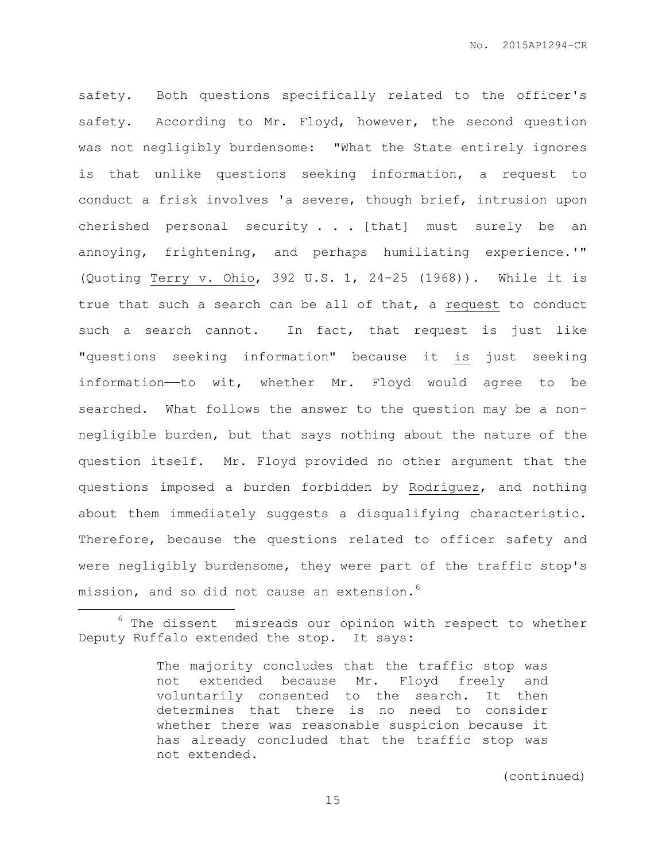safety. Both questions specifically related to the officer's safety. According to Mr. Floyd, however, the second question was not negligibly burdensome: "What the State entirely ignores is that unlike questions seeking information, a request to conduct a frisk involves 'a severe, though brief, intrusion upon cherished personal security . . . [that] must surely be an annoying, frightening, and perhaps humiliating experience.'" (Quoting Terry v. Ohio, 392 U.S. 1, 24-25 (1968)). While it is true that such a search can be all of that, a request to conduct such a search cannot. In fact, that request is just like "questions seeking information" because it is just seeking information——to wit, whether Mr. Floyd would agree to be searched. What follows the answer to the question may be a nonnegligible burden, but that says nothing about the nature of the question itself. Mr. Floyd provided no other argument that the questions imposed a burden forbidden by Rodriguez, and nothing about them immediately suggests a disqualifying characteristic. Therefore, because the questions related to officer safety and were negligibly burdensome, they were part of the traffic stop's mission, and so did not cause an extension.<sup>6</sup>

 $\overline{a}$ 

 $6$  The dissent misreads our opinion with respect to whether Deputy Ruffalo extended the stop. It says:

The majority concludes that the traffic stop was not extended because Mr. Floyd freely and voluntarily consented to the search. It then determines that there is no need to consider whether there was reasonable suspicion because it has already concluded that the traffic stop was not extended.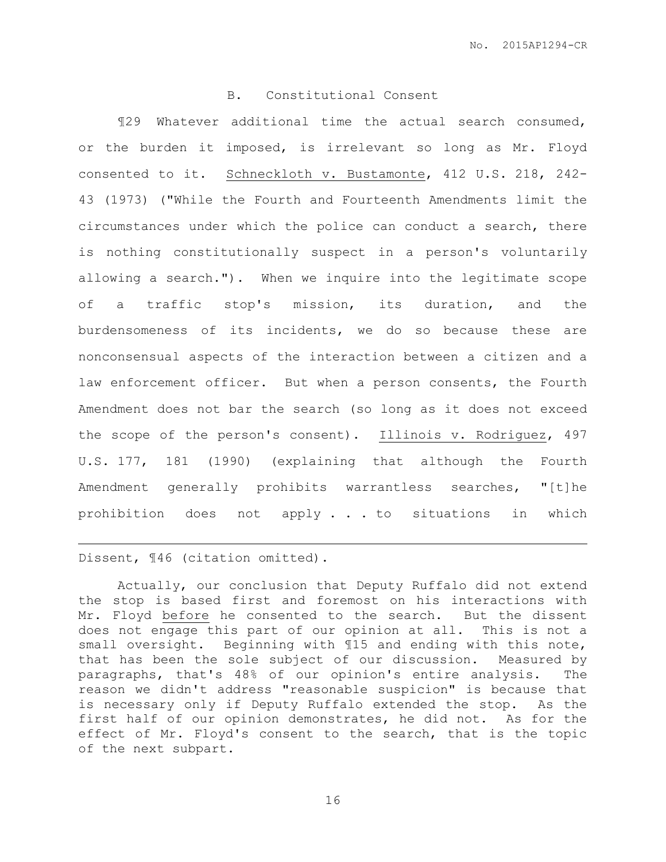### B. Constitutional Consent

¶29 Whatever additional time the actual search consumed, or the burden it imposed, is irrelevant so long as Mr. Floyd consented to it. Schneckloth v. Bustamonte, 412 U.S. 218, 242- 43 (1973) ("While the Fourth and Fourteenth Amendments limit the circumstances under which the police can conduct a search, there is nothing constitutionally suspect in a person's voluntarily allowing a search."). When we inquire into the legitimate scope of a traffic stop's mission, its duration, and the burdensomeness of its incidents, we do so because these are nonconsensual aspects of the interaction between a citizen and a law enforcement officer. But when a person consents, the Fourth Amendment does not bar the search (so long as it does not exceed the scope of the person's consent). Illinois v. Rodriguez, 497 U.S. 177, 181 (1990) (explaining that although the Fourth Amendment generally prohibits warrantless searches, "[t]he prohibition does not apply . . . to situations in which

Dissent, ¶46 (citation omitted).

 $\overline{a}$ 

Actually, our conclusion that Deputy Ruffalo did not extend the stop is based first and foremost on his interactions with Mr. Floyd before he consented to the search. But the dissent does not engage this part of our opinion at all. This is not a small oversight. Beginning with ¶15 and ending with this note, that has been the sole subject of our discussion. Measured by paragraphs, that's 48% of our opinion's entire analysis. The reason we didn't address "reasonable suspicion" is because that is necessary only if Deputy Ruffalo extended the stop. As the first half of our opinion demonstrates, he did not. As for the effect of Mr. Floyd's consent to the search, that is the topic of the next subpart.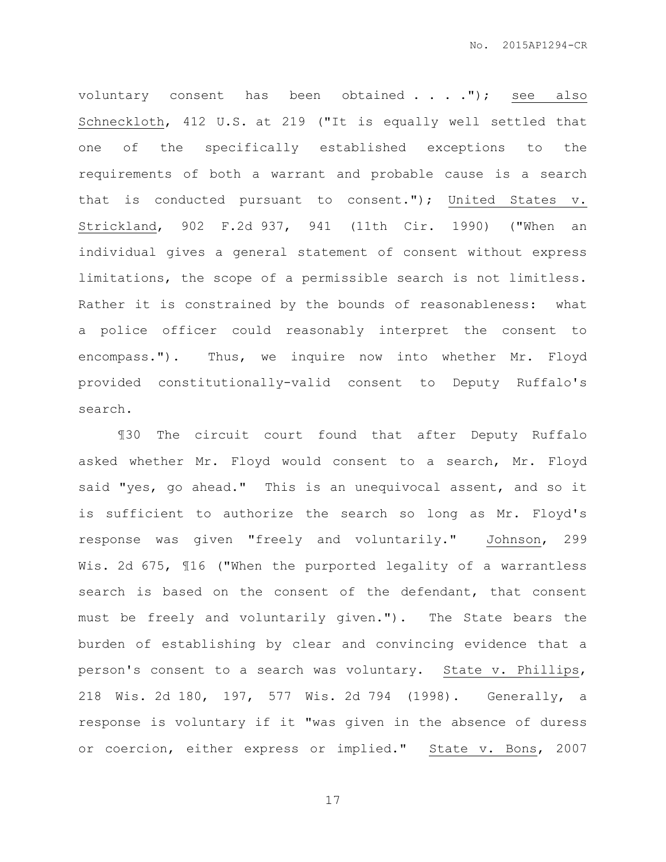voluntary consent has been obtained . . . . "); see also Schneckloth, 412 U.S. at 219 ("It is equally well settled that one of the specifically established exceptions to the requirements of both a warrant and probable cause is a search that is conducted pursuant to consent."); United States v. Strickland, 902 F.2d 937, 941 (11th Cir. 1990) ("When an individual gives a general statement of consent without express limitations, the scope of a permissible search is not limitless. Rather it is constrained by the bounds of reasonableness: what a police officer could reasonably interpret the consent to encompass."). Thus, we inquire now into whether Mr. Floyd provided constitutionally-valid consent to Deputy Ruffalo's search.

¶30 The circuit court found that after Deputy Ruffalo asked whether Mr. Floyd would consent to a search, Mr. Floyd said "yes, go ahead." This is an unequivocal assent, and so it is sufficient to authorize the search so long as Mr. Floyd's response was given "freely and voluntarily." Johnson, 299 Wis. 2d 675, ¶16 ("When the purported legality of a warrantless search is based on the consent of the defendant, that consent must be freely and voluntarily given."). The State bears the burden of establishing by clear and convincing evidence that a person's consent to a search was voluntary. State v. Phillips, 218 Wis. 2d 180, 197, 577 Wis. 2d 794 (1998). Generally, a response is voluntary if it "was given in the absence of duress or coercion, either express or implied." State v. Bons, 2007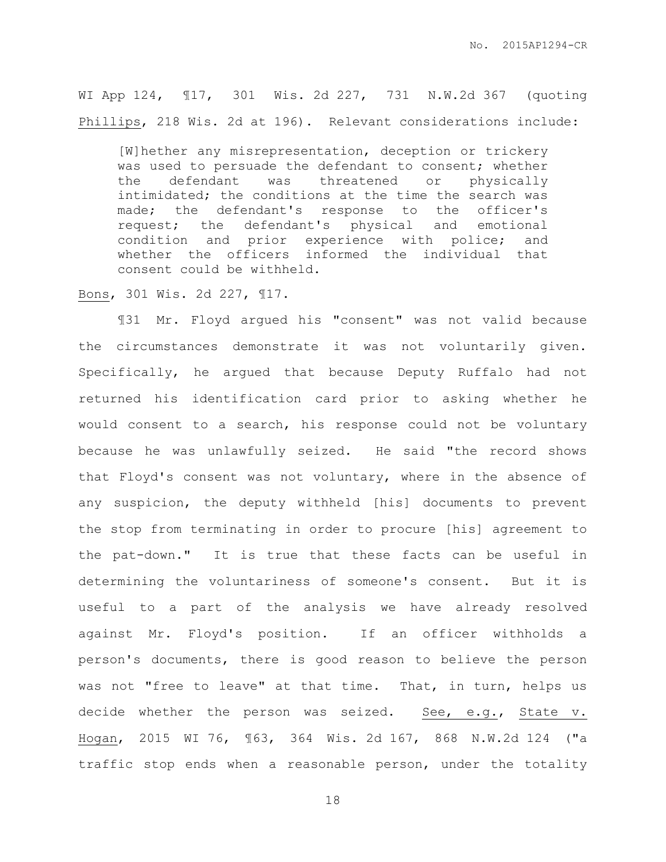WI App 124, ¶17, 301 Wis. 2d 227, 731 N.W.2d 367 (quoting Phillips, 218 Wis. 2d at 196). Relevant considerations include:

[W]hether any misrepresentation, deception or trickery was used to persuade the defendant to consent; whether the defendant was threatened or physically intimidated; the conditions at the time the search was made; the defendant's response to the officer's request; the defendant's physical and emotional condition and prior experience with police; and whether the officers informed the individual that consent could be withheld.

Bons, 301 Wis. 2d 227, ¶17.

¶31 Mr. Floyd argued his "consent" was not valid because the circumstances demonstrate it was not voluntarily given. Specifically, he argued that because Deputy Ruffalo had not returned his identification card prior to asking whether he would consent to a search, his response could not be voluntary because he was unlawfully seized. He said "the record shows that Floyd's consent was not voluntary, where in the absence of any suspicion, the deputy withheld [his] documents to prevent the stop from terminating in order to procure [his] agreement to the pat-down." It is true that these facts can be useful in determining the voluntariness of someone's consent. But it is useful to a part of the analysis we have already resolved against Mr. Floyd's position. If an officer withholds a person's documents, there is good reason to believe the person was not "free to leave" at that time. That, in turn, helps us decide whether the person was seized. See, e.g., State v. Hogan, 2015 WI 76, ¶63, 364 Wis. 2d 167, 868 N.W.2d 124 ("a traffic stop ends when a reasonable person, under the totality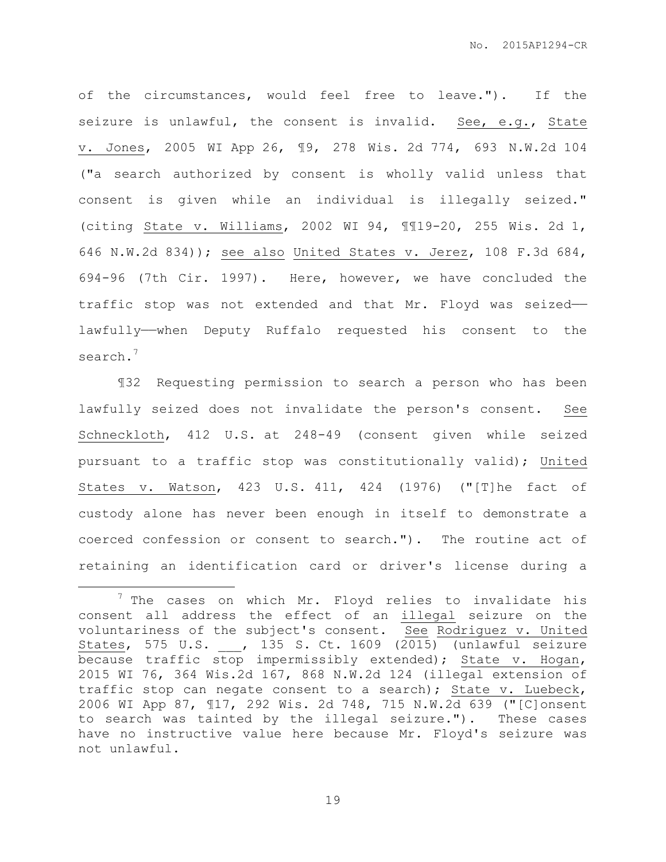of the circumstances, would feel free to leave."). If the seizure is unlawful, the consent is invalid. See, e.g., State v. Jones, 2005 WI App 26, ¶9, 278 Wis. 2d 774, 693 N.W.2d 104 ("a search authorized by consent is wholly valid unless that consent is given while an individual is illegally seized." (citing State v. Williams, 2002 WI 94, ¶¶19-20, 255 Wis. 2d 1, 646 N.W.2d 834)); see also United States v. Jerez, 108 F.3d 684, 694-96 (7th Cir. 1997). Here, however, we have concluded the traffic stop was not extended and that Mr. Floyd was seized— lawfully——when Deputy Ruffalo requested his consent to the search.<sup>7</sup>

¶32 Requesting permission to search a person who has been lawfully seized does not invalidate the person's consent. See Schneckloth, 412 U.S. at 248-49 (consent given while seized pursuant to a traffic stop was constitutionally valid); United States v. Watson, 423 U.S. 411, 424 (1976) ("[T]he fact of custody alone has never been enough in itself to demonstrate a coerced confession or consent to search."). The routine act of retaining an identification card or driver's license during a

 $\overline{a}$ 

 $<sup>7</sup>$  The cases on which Mr. Floyd relies to invalidate his</sup> consent all address the effect of an illegal seizure on the voluntariness of the subject's consent. See Rodriguez v. United States, 575 U.S. , 135 S. Ct. 1609 (2015) (unlawful seizure because traffic stop impermissibly extended); State v. Hogan, 2015 WI 76, 364 Wis.2d 167, 868 N.W.2d 124 (illegal extension of traffic stop can negate consent to a search); State v. Luebeck, 2006 WI App 87, ¶17, 292 Wis. 2d 748, 715 N.W.2d 639 ("[C]onsent to search was tainted by the illegal seizure."). These cases have no instructive value here because Mr. Floyd's seizure was not unlawful.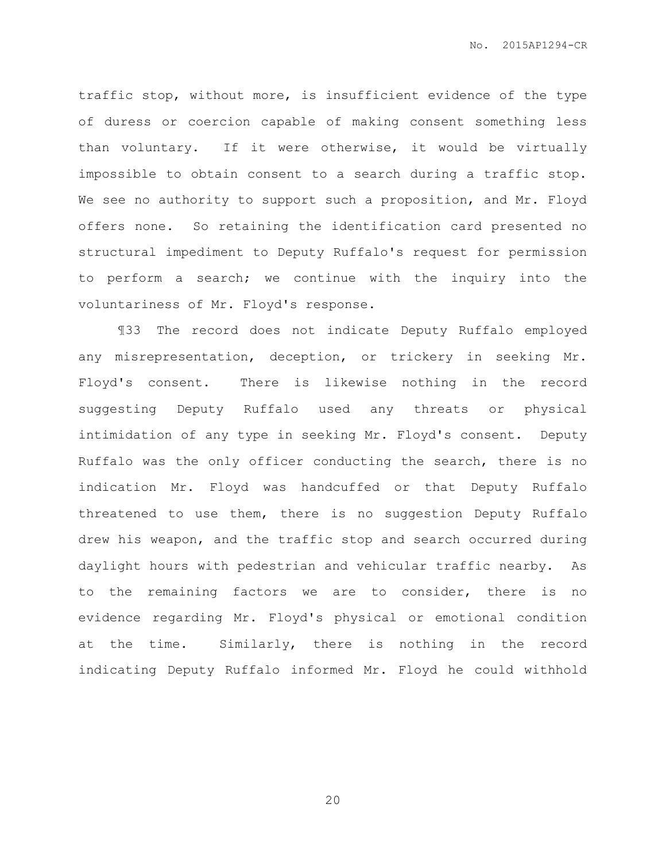traffic stop, without more, is insufficient evidence of the type of duress or coercion capable of making consent something less than voluntary. If it were otherwise, it would be virtually impossible to obtain consent to a search during a traffic stop. We see no authority to support such a proposition, and Mr. Floyd offers none. So retaining the identification card presented no structural impediment to Deputy Ruffalo's request for permission to perform a search; we continue with the inquiry into the voluntariness of Mr. Floyd's response.

¶33 The record does not indicate Deputy Ruffalo employed any misrepresentation, deception, or trickery in seeking Mr. Floyd's consent. There is likewise nothing in the record suggesting Deputy Ruffalo used any threats or physical intimidation of any type in seeking Mr. Floyd's consent. Deputy Ruffalo was the only officer conducting the search, there is no indication Mr. Floyd was handcuffed or that Deputy Ruffalo threatened to use them, there is no suggestion Deputy Ruffalo drew his weapon, and the traffic stop and search occurred during daylight hours with pedestrian and vehicular traffic nearby. As to the remaining factors we are to consider, there is no evidence regarding Mr. Floyd's physical or emotional condition at the time. Similarly, there is nothing in the record indicating Deputy Ruffalo informed Mr. Floyd he could withhold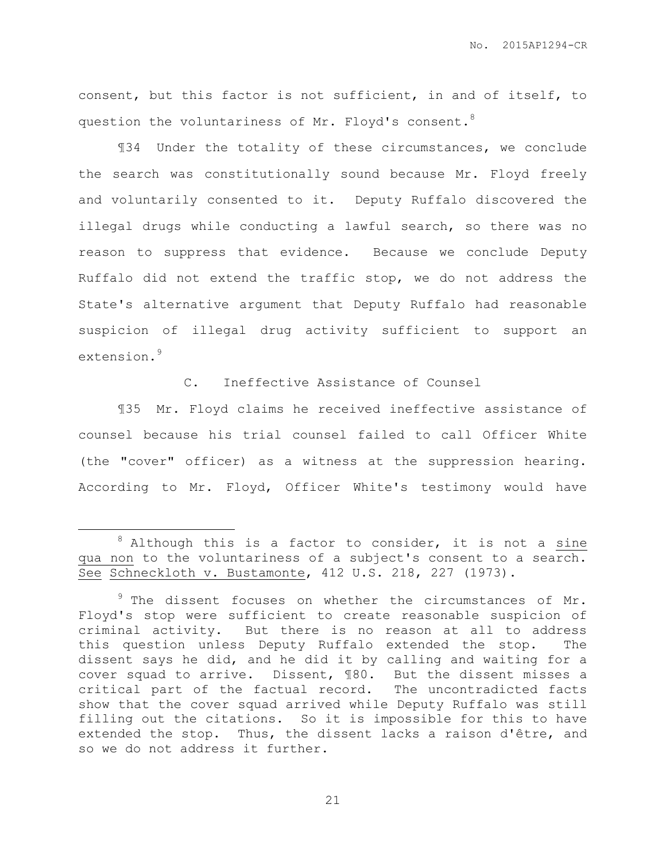consent, but this factor is not sufficient, in and of itself, to question the voluntariness of Mr. Floyd's consent.<sup>8</sup>

¶34 Under the totality of these circumstances, we conclude the search was constitutionally sound because Mr. Floyd freely and voluntarily consented to it. Deputy Ruffalo discovered the illegal drugs while conducting a lawful search, so there was no reason to suppress that evidence. Because we conclude Deputy Ruffalo did not extend the traffic stop, we do not address the State's alternative argument that Deputy Ruffalo had reasonable suspicion of illegal drug activity sufficient to support an extension.<sup>9</sup>

C. Ineffective Assistance of Counsel

¶35 Mr. Floyd claims he received ineffective assistance of counsel because his trial counsel failed to call Officer White (the "cover" officer) as a witness at the suppression hearing. According to Mr. Floyd, Officer White's testimony would have

 $\overline{a}$ 

 $8$  Although this is a factor to consider, it is not a sine qua non to the voluntariness of a subject's consent to a search. See Schneckloth v. Bustamonte, 412 U.S. 218, 227 (1973).

<sup>&</sup>lt;sup>9</sup> The dissent focuses on whether the circumstances of Mr. Floyd's stop were sufficient to create reasonable suspicion of criminal activity. But there is no reason at all to address this question unless Deputy Ruffalo extended the stop. The dissent says he did, and he did it by calling and waiting for a cover squad to arrive. Dissent, ¶80. But the dissent misses a critical part of the factual record. The uncontradicted facts show that the cover squad arrived while Deputy Ruffalo was still filling out the citations. So it is impossible for this to have extended the stop. Thus, the dissent lacks a raison d'être, and so we do not address it further.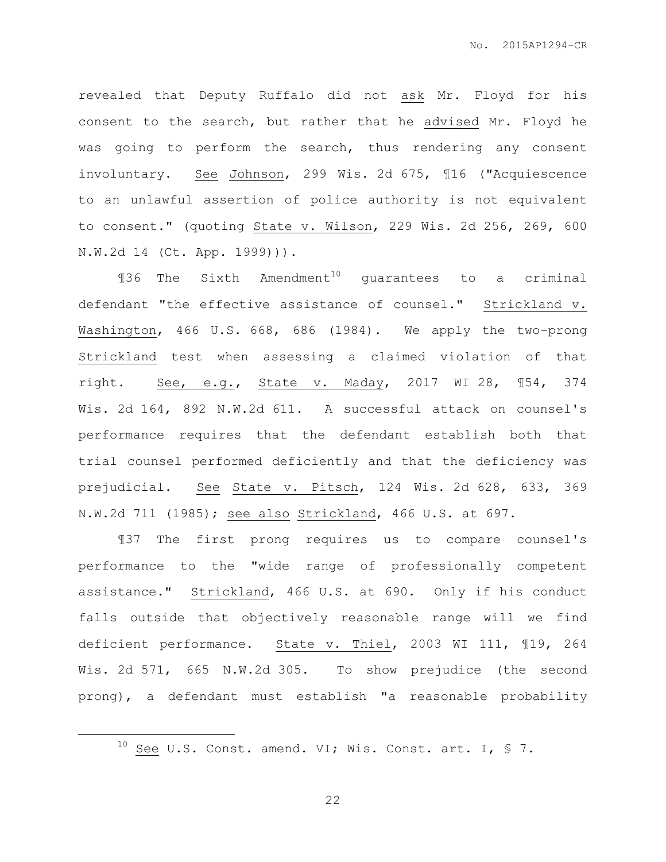revealed that Deputy Ruffalo did not ask Mr. Floyd for his consent to the search, but rather that he advised Mr. Floyd he was going to perform the search, thus rendering any consent involuntary. See Johnson, 299 Wis. 2d 675, ¶16 ("Acquiescence to an unlawful assertion of police authority is not equivalent to consent." (quoting State v. Wilson, 229 Wis. 2d 256, 269, 600 N.W.2d 14 (Ct. App. 1999))).

 $$136$  The Sixth Amendment<sup>10</sup> guarantees to a criminal defendant "the effective assistance of counsel." Strickland v. Washington, 466 U.S. 668, 686 (1984). We apply the two-prong Strickland test when assessing a claimed violation of that right. See, e.g., State v. Maday, 2017 WI 28, ¶54, 374 Wis. 2d 164, 892 N.W.2d 611. A successful attack on counsel's performance requires that the defendant establish both that trial counsel performed deficiently and that the deficiency was prejudicial. See State v. Pitsch, 124 Wis. 2d 628, 633, 369 N.W.2d 711 (1985); see also Strickland, 466 U.S. at 697.

¶37 The first prong requires us to compare counsel's performance to the "wide range of professionally competent assistance." Strickland, 466 U.S. at 690. Only if his conduct falls outside that objectively reasonable range will we find deficient performance. State v. Thiel, 2003 WI 111, ¶19, 264 Wis. 2d 571, 665 N.W.2d 305. To show prejudice (the second prong), a defendant must establish "a reasonable probability

 $\overline{a}$ 

 $10$  See U.S. Const. amend. VI; Wis. Const. art. I, § 7.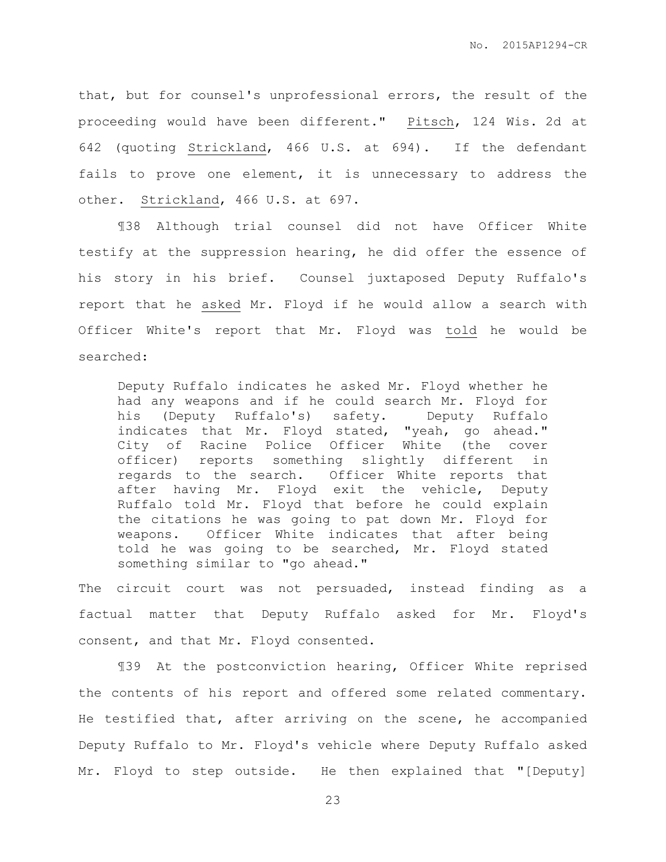that, but for counsel's unprofessional errors, the result of the proceeding would have been different." Pitsch, 124 Wis. 2d at 642 (quoting Strickland, 466 U.S. at 694). If the defendant fails to prove one element, it is unnecessary to address the other. Strickland, 466 U.S. at 697.

¶38 Although trial counsel did not have Officer White testify at the suppression hearing, he did offer the essence of his story in his brief. Counsel juxtaposed Deputy Ruffalo's report that he asked Mr. Floyd if he would allow a search with Officer White's report that Mr. Floyd was told he would be searched:

Deputy Ruffalo indicates he asked Mr. Floyd whether he had any weapons and if he could search Mr. Floyd for his (Deputy Ruffalo's) safety. Deputy Ruffalo indicates that Mr. Floyd stated, "yeah, go ahead." City of Racine Police Officer White (the cover officer) reports something slightly different in regards to the search. Officer White reports that after having Mr. Floyd exit the vehicle, Deputy Ruffalo told Mr. Floyd that before he could explain the citations he was going to pat down Mr. Floyd for weapons. Officer White indicates that after being told he was going to be searched, Mr. Floyd stated something similar to "go ahead."

The circuit court was not persuaded, instead finding as a factual matter that Deputy Ruffalo asked for Mr. Floyd's consent, and that Mr. Floyd consented.

¶39 At the postconviction hearing, Officer White reprised the contents of his report and offered some related commentary. He testified that, after arriving on the scene, he accompanied Deputy Ruffalo to Mr. Floyd's vehicle where Deputy Ruffalo asked Mr. Floyd to step outside. He then explained that "[Deputy]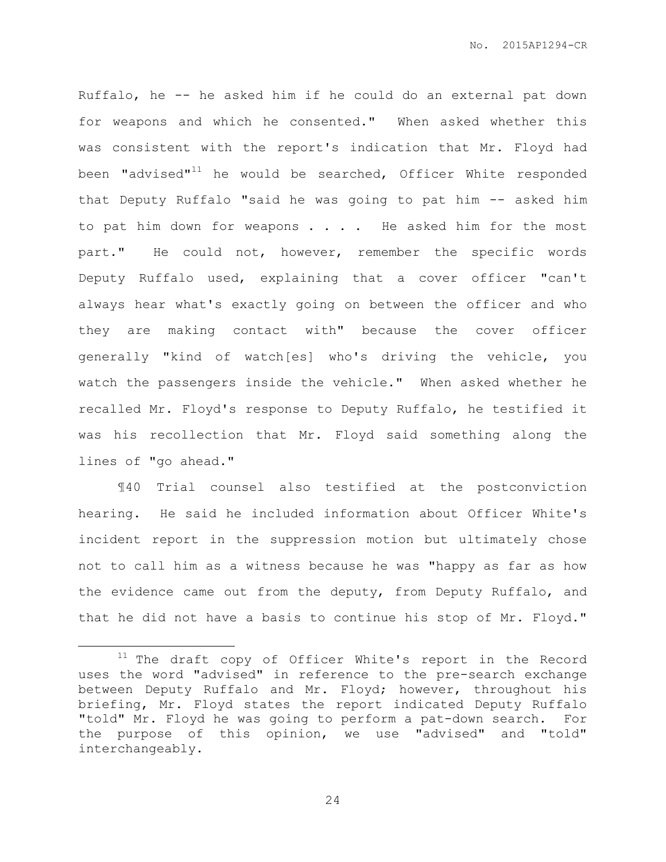Ruffalo, he -- he asked him if he could do an external pat down for weapons and which he consented." When asked whether this was consistent with the report's indication that Mr. Floyd had been "advised" $11$  he would be searched, Officer White responded that Deputy Ruffalo "said he was going to pat him -- asked him to pat him down for weapons . . . . He asked him for the most part." He could not, however, remember the specific words Deputy Ruffalo used, explaining that a cover officer "can't always hear what's exactly going on between the officer and who they are making contact with" because the cover officer generally "kind of watch[es] who's driving the vehicle, you watch the passengers inside the vehicle." When asked whether he recalled Mr. Floyd's response to Deputy Ruffalo, he testified it was his recollection that Mr. Floyd said something along the lines of "go ahead."

¶40 Trial counsel also testified at the postconviction hearing. He said he included information about Officer White's incident report in the suppression motion but ultimately chose not to call him as a witness because he was "happy as far as how the evidence came out from the deputy, from Deputy Ruffalo, and that he did not have a basis to continue his stop of Mr. Floyd."

 $\overline{a}$ 

 $11$  The draft copy of Officer White's report in the Record uses the word "advised" in reference to the pre-search exchange between Deputy Ruffalo and Mr. Floyd; however, throughout his briefing, Mr. Floyd states the report indicated Deputy Ruffalo "told" Mr. Floyd he was going to perform a pat-down search. For the purpose of this opinion, we use "advised" and "told" interchangeably.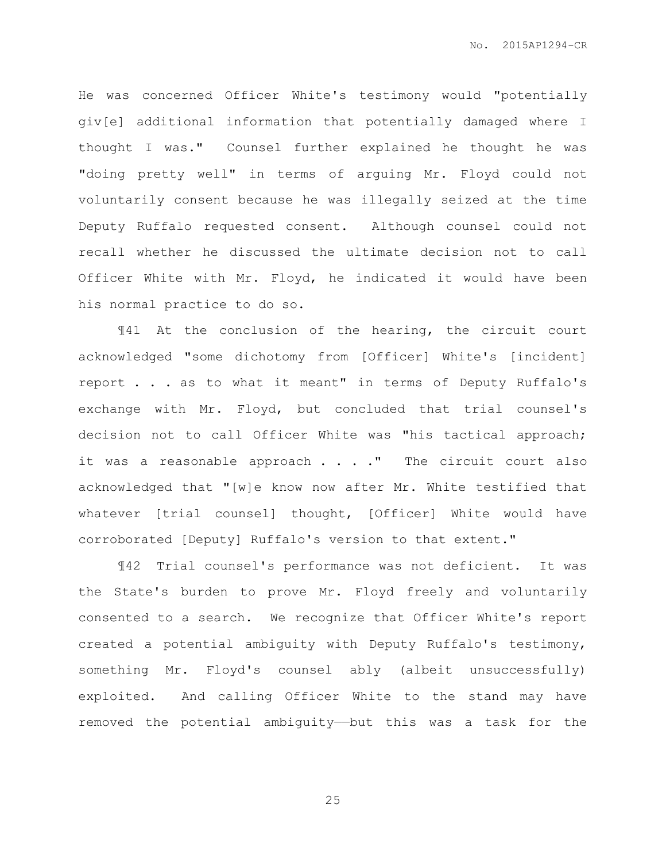He was concerned Officer White's testimony would "potentially giv[e] additional information that potentially damaged where I thought I was." Counsel further explained he thought he was "doing pretty well" in terms of arguing Mr. Floyd could not voluntarily consent because he was illegally seized at the time Deputy Ruffalo requested consent. Although counsel could not recall whether he discussed the ultimate decision not to call Officer White with Mr. Floyd, he indicated it would have been his normal practice to do so.

¶41 At the conclusion of the hearing, the circuit court acknowledged "some dichotomy from [Officer] White's [incident] report . . . as to what it meant" in terms of Deputy Ruffalo's exchange with Mr. Floyd, but concluded that trial counsel's decision not to call Officer White was "his tactical approach; it was a reasonable approach  $\ldots$  ." The circuit court also acknowledged that "[w]e know now after Mr. White testified that whatever [trial counsel] thought, [Officer] White would have corroborated [Deputy] Ruffalo's version to that extent."

¶42 Trial counsel's performance was not deficient. It was the State's burden to prove Mr. Floyd freely and voluntarily consented to a search. We recognize that Officer White's report created a potential ambiguity with Deputy Ruffalo's testimony, something Mr. Floyd's counsel ably (albeit unsuccessfully) exploited. And calling Officer White to the stand may have removed the potential ambiguity——but this was a task for the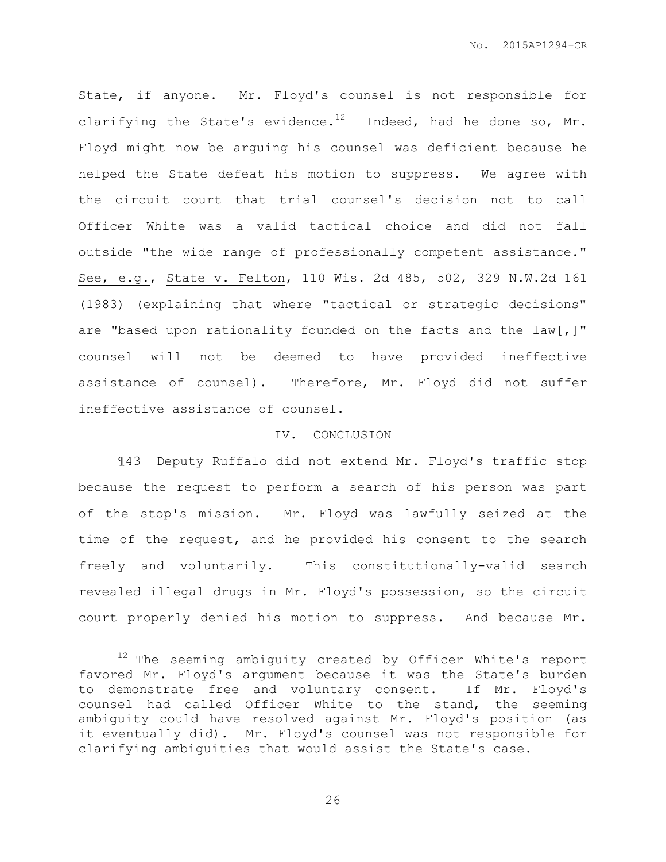State, if anyone. Mr. Floyd's counsel is not responsible for clarifying the State's evidence.<sup>12</sup> Indeed, had he done so, Mr. Floyd might now be arguing his counsel was deficient because he helped the State defeat his motion to suppress. We agree with the circuit court that trial counsel's decision not to call Officer White was a valid tactical choice and did not fall outside "the wide range of professionally competent assistance." See, e.g., State v. Felton, 110 Wis. 2d 485, 502, 329 N.W.2d 161 (1983) (explaining that where "tactical or strategic decisions" are "based upon rationality founded on the facts and the law[,]" counsel will not be deemed to have provided ineffective assistance of counsel). Therefore, Mr. Floyd did not suffer ineffective assistance of counsel.

#### IV. CONCLUSION

¶43 Deputy Ruffalo did not extend Mr. Floyd's traffic stop because the request to perform a search of his person was part of the stop's mission. Mr. Floyd was lawfully seized at the time of the request, and he provided his consent to the search freely and voluntarily. This constitutionally-valid search revealed illegal drugs in Mr. Floyd's possession, so the circuit court properly denied his motion to suppress. And because Mr.

 $\overline{a}$ 

<sup>&</sup>lt;sup>12</sup> The seeming ambiguity created by Officer White's report favored Mr. Floyd's argument because it was the State's burden to demonstrate free and voluntary consent. If Mr. Floyd's counsel had called Officer White to the stand, the seeming ambiguity could have resolved against Mr. Floyd's position (as it eventually did). Mr. Floyd's counsel was not responsible for clarifying ambiguities that would assist the State's case.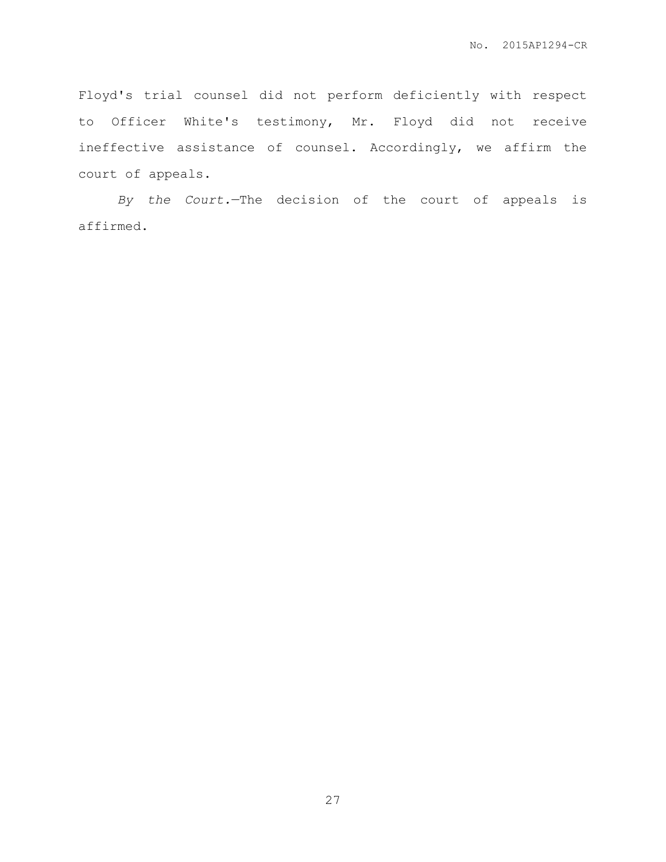Floyd's trial counsel did not perform deficiently with respect to Officer White's testimony, Mr. Floyd did not receive ineffective assistance of counsel. Accordingly, we affirm the court of appeals.

*By the Court.*—The decision of the court of appeals is affirmed.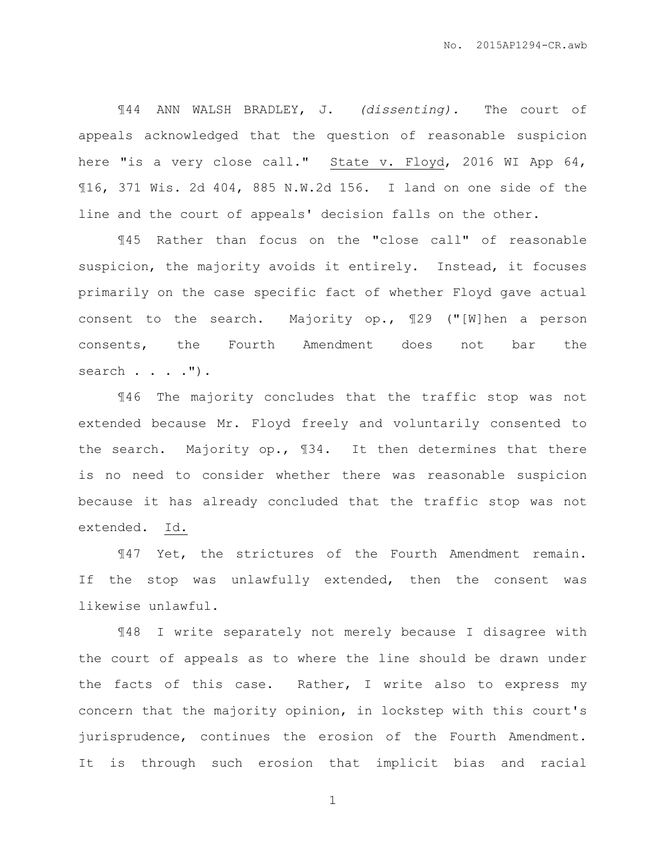¶44 ANN WALSH BRADLEY, J. *(dissenting).* The court of appeals acknowledged that the question of reasonable suspicion here "is a very close call." State v. Floyd, 2016 WI App 64, ¶16, 371 Wis. 2d 404, 885 N.W.2d 156. I land on one side of the line and the court of appeals' decision falls on the other.

¶45 Rather than focus on the "close call" of reasonable suspicion, the majority avoids it entirely. Instead, it focuses primarily on the case specific fact of whether Floyd gave actual consent to the search. Majority op., ¶29 ("[W]hen a person consents, the Fourth Amendment does not bar the search . . . . ") .

¶46 The majority concludes that the traffic stop was not extended because Mr. Floyd freely and voluntarily consented to the search. Majority op., ¶34. It then determines that there is no need to consider whether there was reasonable suspicion because it has already concluded that the traffic stop was not extended. Id.

¶47 Yet, the strictures of the Fourth Amendment remain. If the stop was unlawfully extended, then the consent was likewise unlawful.

¶48 I write separately not merely because I disagree with the court of appeals as to where the line should be drawn under the facts of this case. Rather, I write also to express my concern that the majority opinion, in lockstep with this court's jurisprudence, continues the erosion of the Fourth Amendment. It is through such erosion that implicit bias and racial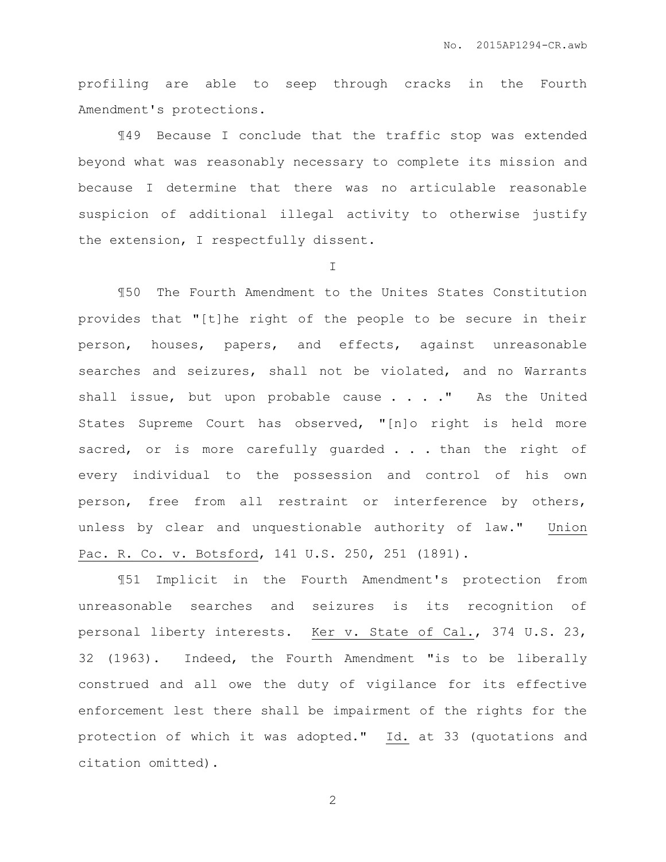profiling are able to seep through cracks in the Fourth Amendment's protections.

¶49 Because I conclude that the traffic stop was extended beyond what was reasonably necessary to complete its mission and because I determine that there was no articulable reasonable suspicion of additional illegal activity to otherwise justify the extension, I respectfully dissent.

I

¶50 The Fourth Amendment to the Unites States Constitution provides that "[t]he right of the people to be secure in their person, houses, papers, and effects, against unreasonable searches and seizures, shall not be violated, and no Warrants shall issue, but upon probable cause . . . . " As the United States Supreme Court has observed, "[n]o right is held more sacred, or is more carefully guarded . . . than the right of every individual to the possession and control of his own person, free from all restraint or interference by others, unless by clear and unquestionable authority of law." Union Pac. R. Co. v. Botsford, 141 U.S. 250, 251 (1891).

¶51 Implicit in the Fourth Amendment's protection from unreasonable searches and seizures is its recognition of personal liberty interests. Ker v. State of Cal., 374 U.S. 23, 32 (1963). Indeed, the Fourth Amendment "is to be liberally construed and all owe the duty of vigilance for its effective enforcement lest there shall be impairment of the rights for the protection of which it was adopted." Id. at 33 (quotations and citation omitted).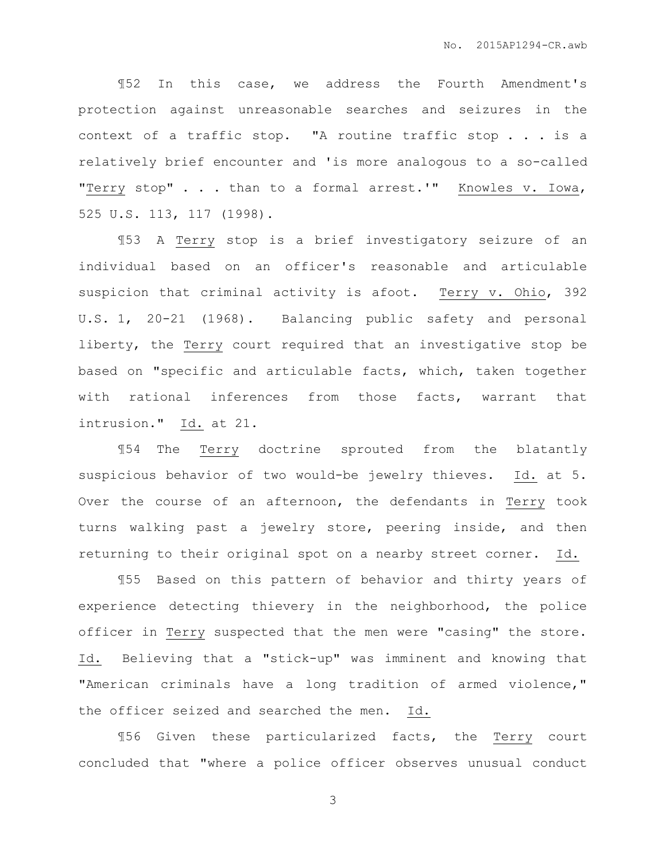¶52 In this case, we address the Fourth Amendment's protection against unreasonable searches and seizures in the context of a traffic stop. "A routine traffic stop . . . is a relatively brief encounter and 'is more analogous to a so-called "Terry stop" . . . than to a formal arrest.'" Knowles v. Iowa, 525 U.S. 113, 117 (1998).

¶53 A Terry stop is a brief investigatory seizure of an individual based on an officer's reasonable and articulable suspicion that criminal activity is afoot. Terry v. Ohio, 392 U.S. 1, 20-21 (1968). Balancing public safety and personal liberty, the Terry court required that an investigative stop be based on "specific and articulable facts, which, taken together with rational inferences from those facts, warrant that intrusion." Id. at 21.

¶54 The Terry doctrine sprouted from the blatantly suspicious behavior of two would-be jewelry thieves. Id. at 5. Over the course of an afternoon, the defendants in Terry took turns walking past a jewelry store, peering inside, and then returning to their original spot on a nearby street corner. Id.

¶55 Based on this pattern of behavior and thirty years of experience detecting thievery in the neighborhood, the police officer in Terry suspected that the men were "casing" the store. Id. Believing that a "stick-up" was imminent and knowing that "American criminals have a long tradition of armed violence," the officer seized and searched the men. Id.

¶56 Given these particularized facts, the Terry court concluded that "where a police officer observes unusual conduct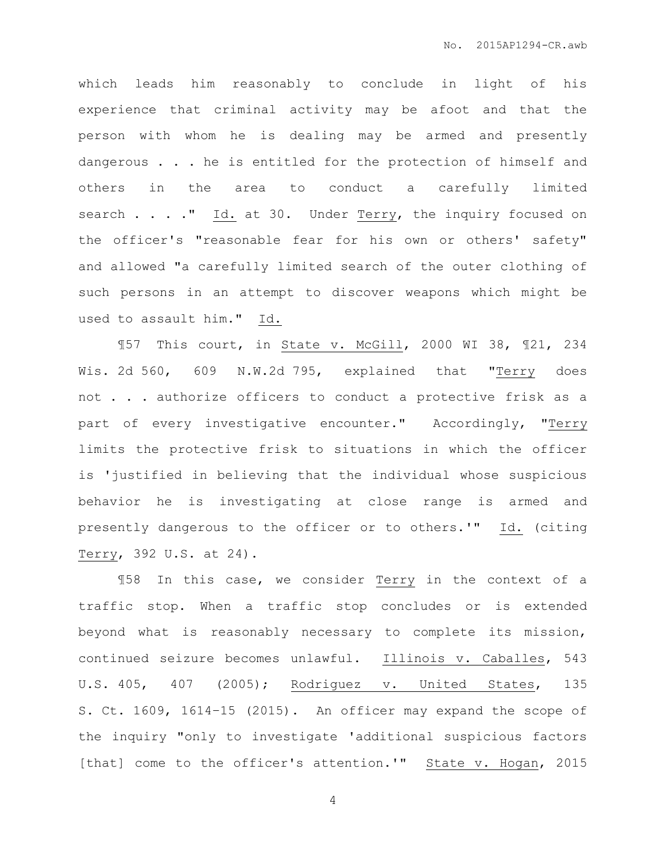which leads him reasonably to conclude in light of his experience that criminal activity may be afoot and that the person with whom he is dealing may be armed and presently dangerous . . . he is entitled for the protection of himself and others in the area to conduct a carefully limited search . . . . " Id. at 30. Under Terry, the inquiry focused on the officer's "reasonable fear for his own or others' safety" and allowed "a carefully limited search of the outer clothing of such persons in an attempt to discover weapons which might be used to assault him." Id.

¶57 This court, in State v. McGill, 2000 WI 38, ¶21, 234 Wis. 2d 560, 609 N.W.2d 795, explained that "Terry does not . . . authorize officers to conduct a protective frisk as a part of every investigative encounter." Accordingly, "Terry limits the protective frisk to situations in which the officer is 'justified in believing that the individual whose suspicious behavior he is investigating at close range is armed and presently dangerous to the officer or to others.'" Id. (citing Terry, 392 U.S. at 24).

¶58 In this case, we consider Terry in the context of a traffic stop. When a traffic stop concludes or is extended beyond what is reasonably necessary to complete its mission, continued seizure becomes unlawful. Illinois v. Caballes, 543 U.S. 405, 407 (2005); Rodriguez v. United States, 135 S. Ct. 1609, 1614–15 (2015). An officer may expand the scope of the inquiry "only to investigate 'additional suspicious factors [that] come to the officer's attention.'" State v. Hogan, 2015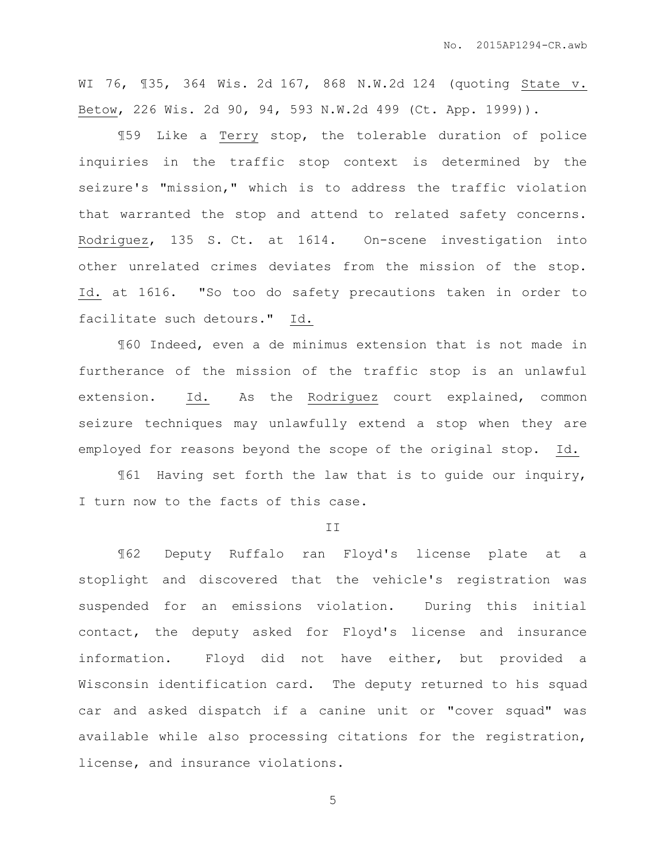WI 76, ¶35, 364 Wis. 2d 167, 868 N.W.2d 124 (quoting State v. Betow, 226 Wis. 2d 90, 94, 593 N.W.2d 499 (Ct. App. 1999)).

¶59 Like a Terry stop, the tolerable duration of police inquiries in the traffic stop context is determined by the seizure's "mission," which is to address the traffic violation that warranted the stop and attend to related safety concerns. Rodriguez, 135 S. Ct. at 1614. On-scene investigation into other unrelated crimes deviates from the mission of the stop. Id. at 1616. "So too do safety precautions taken in order to facilitate such detours." Id.

¶60 Indeed, even a de minimus extension that is not made in furtherance of the mission of the traffic stop is an unlawful extension. Id. As the Rodriguez court explained, common seizure techniques may unlawfully extend a stop when they are employed for reasons beyond the scope of the original stop. Id.

¶61 Having set forth the law that is to guide our inquiry, I turn now to the facts of this case.

II

¶62 Deputy Ruffalo ran Floyd's license plate at a stoplight and discovered that the vehicle's registration was suspended for an emissions violation. During this initial contact, the deputy asked for Floyd's license and insurance information. Floyd did not have either, but provided a Wisconsin identification card. The deputy returned to his squad car and asked dispatch if a canine unit or "cover squad" was available while also processing citations for the registration, license, and insurance violations.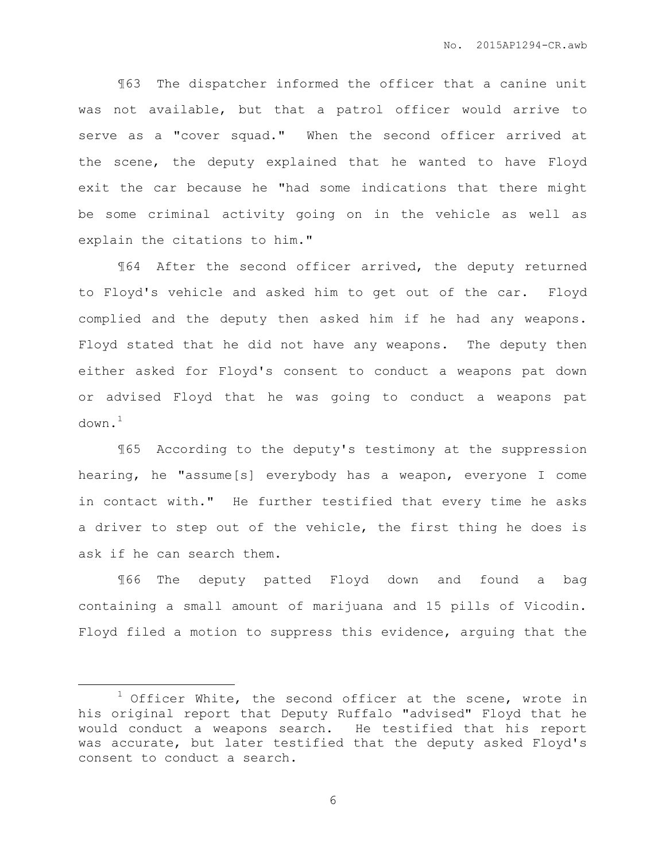¶63 The dispatcher informed the officer that a canine unit was not available, but that a patrol officer would arrive to serve as a "cover squad." When the second officer arrived at the scene, the deputy explained that he wanted to have Floyd exit the car because he "had some indications that there might be some criminal activity going on in the vehicle as well as explain the citations to him."

¶64 After the second officer arrived, the deputy returned to Floyd's vehicle and asked him to get out of the car. Floyd complied and the deputy then asked him if he had any weapons. Floyd stated that he did not have any weapons. The deputy then either asked for Floyd's consent to conduct a weapons pat down or advised Floyd that he was going to conduct a weapons pat  $down<sup>1</sup>$ 

¶65 According to the deputy's testimony at the suppression hearing, he "assume[s] everybody has a weapon, everyone I come in contact with." He further testified that every time he asks a driver to step out of the vehicle, the first thing he does is ask if he can search them.

¶66 The deputy patted Floyd down and found a bag containing a small amount of marijuana and 15 pills of Vicodin. Floyd filed a motion to suppress this evidence, arguing that the

 $\overline{a}$ 

 $1$  Officer White, the second officer at the scene, wrote in his original report that Deputy Ruffalo "advised" Floyd that he would conduct a weapons search. He testified that his report was accurate, but later testified that the deputy asked Floyd's consent to conduct a search.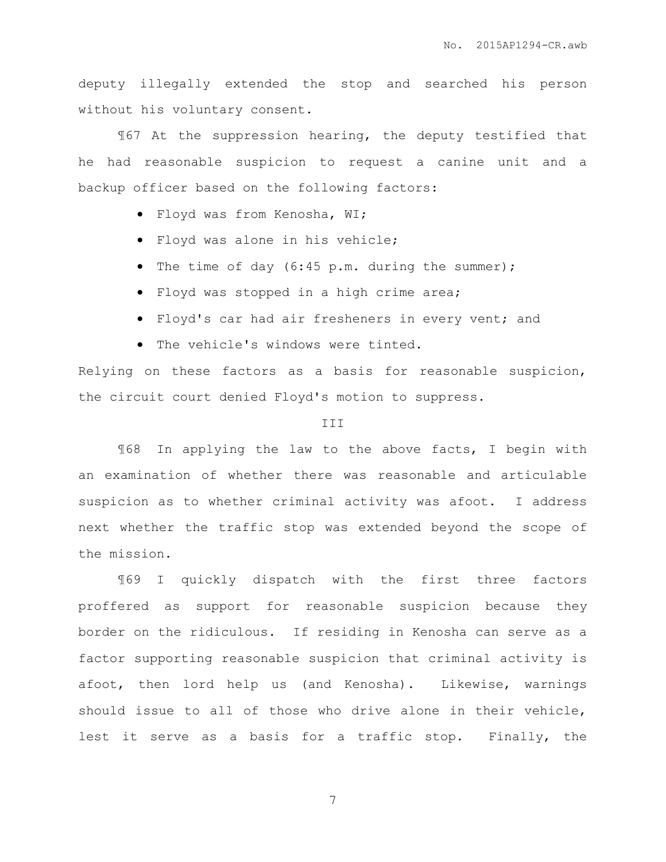deputy illegally extended the stop and searched his person without his voluntary consent.

¶67 At the suppression hearing, the deputy testified that he had reasonable suspicion to request a canine unit and a backup officer based on the following factors:

- Floyd was from Kenosha, WI;
- Floyd was alone in his vehicle;
- The time of day (6:45 p.m. during the summer);
- Floyd was stopped in a high crime area;
- Floyd's car had air fresheners in every vent; and
- The vehicle's windows were tinted.

Relying on these factors as a basis for reasonable suspicion, the circuit court denied Floyd's motion to suppress.

#### **TTT**

¶68 In applying the law to the above facts, I begin with an examination of whether there was reasonable and articulable suspicion as to whether criminal activity was afoot. I address next whether the traffic stop was extended beyond the scope of the mission.

¶69 I quickly dispatch with the first three factors proffered as support for reasonable suspicion because they border on the ridiculous. If residing in Kenosha can serve as a factor supporting reasonable suspicion that criminal activity is afoot, then lord help us (and Kenosha). Likewise, warnings should issue to all of those who drive alone in their vehicle, lest it serve as a basis for a traffic stop. Finally, the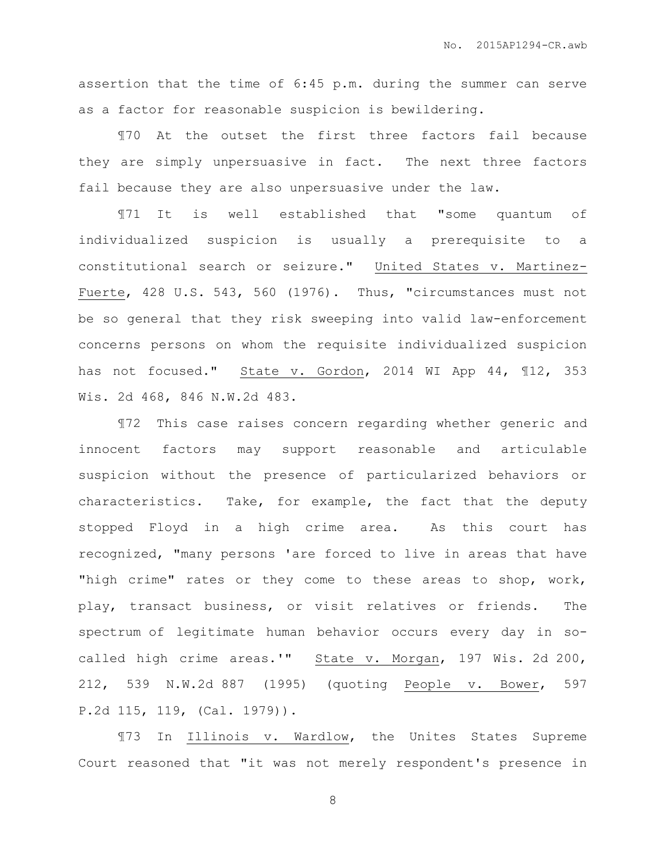assertion that the time of 6:45 p.m. during the summer can serve as a factor for reasonable suspicion is bewildering.

¶70 At the outset the first three factors fail because they are simply unpersuasive in fact. The next three factors fail because they are also unpersuasive under the law.

¶71 It is well established that "some quantum of individualized suspicion is usually a prerequisite to a constitutional search or seizure." United States v. Martinez-Fuerte, 428 U.S. 543, 560 (1976). Thus, "circumstances must not be so general that they risk sweeping into valid law-enforcement concerns persons on whom the requisite individualized suspicion has not focused." State v. Gordon, 2014 WI App 44, ¶12, 353 Wis. 2d 468, 846 N.W.2d 483.

¶72 This case raises concern regarding whether generic and innocent factors may support reasonable and articulable suspicion without the presence of particularized behaviors or characteristics. Take, for example, the fact that the deputy stopped Floyd in a high crime area. As this court has recognized, "many persons 'are forced to live in areas that have "high crime" rates or they come to these areas to shop, work, play, transact business, or visit relatives or friends. The spectrum of legitimate human behavior occurs every day in socalled high crime areas.'" State v. Morgan, 197 Wis. 2d 200, 212, 539 N.W.2d 887 (1995) (quoting People v. Bower, 597 P.2d 115, 119, (Cal. 1979)).

¶73 In Illinois v. Wardlow, the Unites States Supreme Court reasoned that "it was not merely respondent's presence in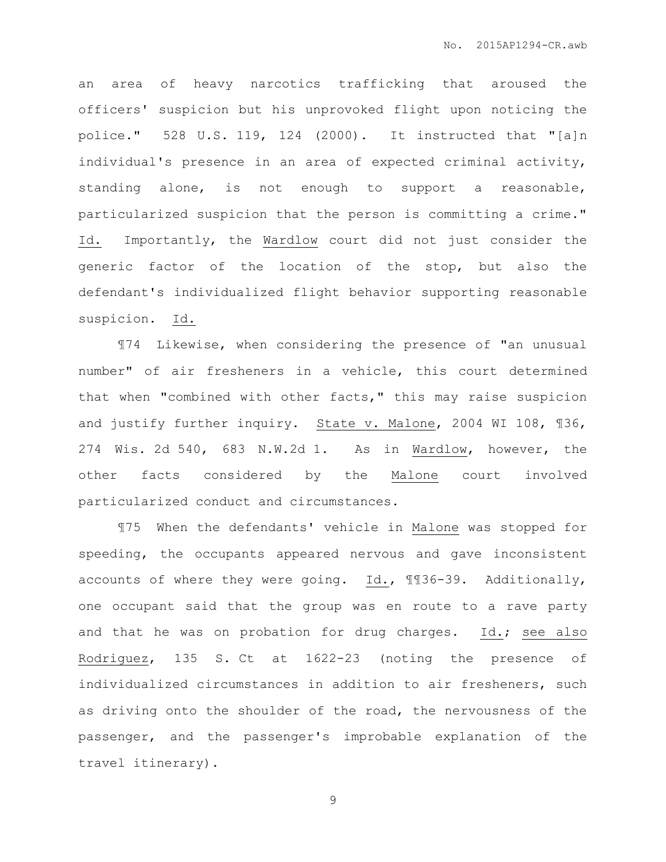an area of heavy narcotics trafficking that aroused the officers' suspicion but his unprovoked flight upon noticing the police." 528 U.S. 119, 124 (2000). It instructed that "[a]n individual's presence in an area of expected criminal activity, standing alone, is not enough to support a reasonable, particularized suspicion that the person is committing a crime." Id. Importantly, the Wardlow court did not just consider the generic factor of the location of the stop, but also the defendant's individualized flight behavior supporting reasonable suspicion. Id.

¶74 Likewise, when considering the presence of "an unusual number" of air fresheners in a vehicle, this court determined that when "combined with other facts," this may raise suspicion and justify further inquiry. State v. Malone, 2004 WI 108, ¶36, 274 Wis. 2d 540, 683 N.W.2d 1. As in Wardlow, however, the other facts considered by the Malone court involved particularized conduct and circumstances.

¶75 When the defendants' vehicle in Malone was stopped for speeding, the occupants appeared nervous and gave inconsistent accounts of where they were going. Id., ¶¶36-39. Additionally, one occupant said that the group was en route to a rave party and that he was on probation for drug charges. Id.; see also Rodriguez, 135 S. Ct at 1622-23 (noting the presence of individualized circumstances in addition to air fresheners, such as driving onto the shoulder of the road, the nervousness of the passenger, and the passenger's improbable explanation of the travel itinerary).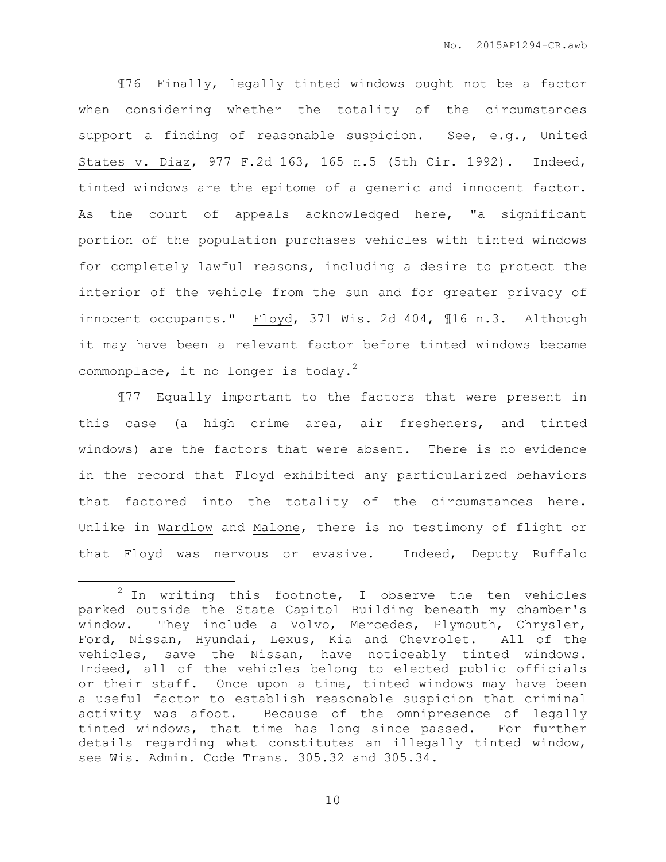¶76 Finally, legally tinted windows ought not be a factor when considering whether the totality of the circumstances support a finding of reasonable suspicion. See, e.g., United States v. Diaz, 977 F.2d 163, 165 n.5 (5th Cir. 1992). Indeed, tinted windows are the epitome of a generic and innocent factor. As the court of appeals acknowledged here, "a significant portion of the population purchases vehicles with tinted windows for completely lawful reasons, including a desire to protect the interior of the vehicle from the sun and for greater privacy of innocent occupants." Floyd, 371 Wis. 2d 404, ¶16 n.3. Although it may have been a relevant factor before tinted windows became commonplace, it no longer is today.<sup>2</sup>

¶77 Equally important to the factors that were present in this case (a high crime area, air fresheners, and tinted windows) are the factors that were absent. There is no evidence in the record that Floyd exhibited any particularized behaviors that factored into the totality of the circumstances here. Unlike in Wardlow and Malone, there is no testimony of flight or that Floyd was nervous or evasive. Indeed, Deputy Ruffalo

 $\overline{a}$ 

 $2$  In writing this footnote, I observe the ten vehicles parked outside the State Capitol Building beneath my chamber's window. They include a Volvo, Mercedes, Plymouth, Chrysler, Ford, Nissan, Hyundai, Lexus, Kia and Chevrolet. All of the vehicles, save the Nissan, have noticeably tinted windows. Indeed, all of the vehicles belong to elected public officials or their staff. Once upon a time, tinted windows may have been a useful factor to establish reasonable suspicion that criminal activity was afoot. Because of the omnipresence of legally tinted windows, that time has long since passed. For further details regarding what constitutes an illegally tinted window, see Wis. Admin. Code Trans. 305.32 and 305.34.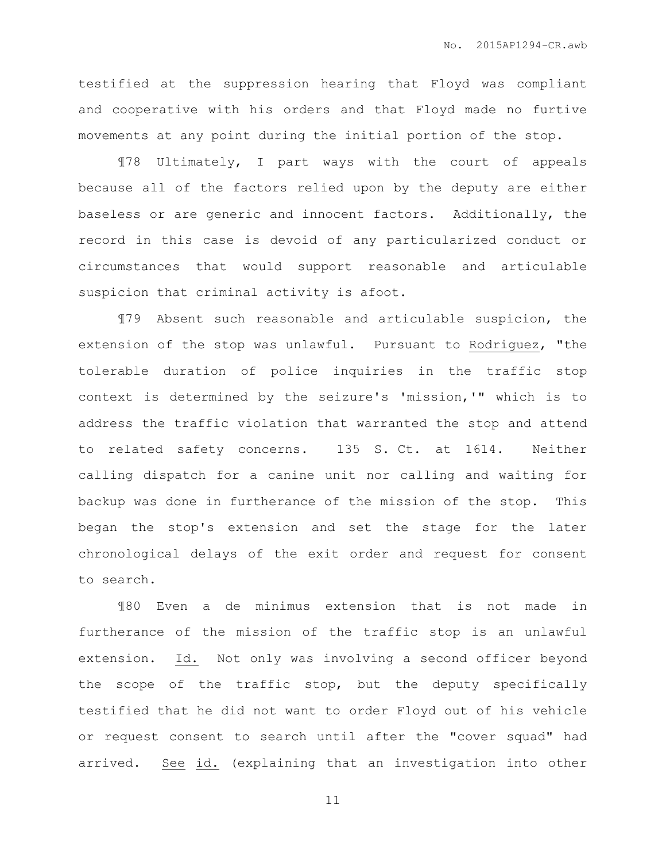testified at the suppression hearing that Floyd was compliant and cooperative with his orders and that Floyd made no furtive movements at any point during the initial portion of the stop.

¶78 Ultimately, I part ways with the court of appeals because all of the factors relied upon by the deputy are either baseless or are generic and innocent factors. Additionally, the record in this case is devoid of any particularized conduct or circumstances that would support reasonable and articulable suspicion that criminal activity is afoot.

¶79 Absent such reasonable and articulable suspicion, the extension of the stop was unlawful. Pursuant to Rodriguez, "the tolerable duration of police inquiries in the traffic stop context is determined by the seizure's 'mission,'" which is to address the traffic violation that warranted the stop and attend to related safety concerns. 135 S. Ct. at 1614. Neither calling dispatch for a canine unit nor calling and waiting for backup was done in furtherance of the mission of the stop. This began the stop's extension and set the stage for the later chronological delays of the exit order and request for consent to search.

¶80 Even a de minimus extension that is not made in furtherance of the mission of the traffic stop is an unlawful extension. Id. Not only was involving a second officer beyond the scope of the traffic stop, but the deputy specifically testified that he did not want to order Floyd out of his vehicle or request consent to search until after the "cover squad" had arrived. See id. (explaining that an investigation into other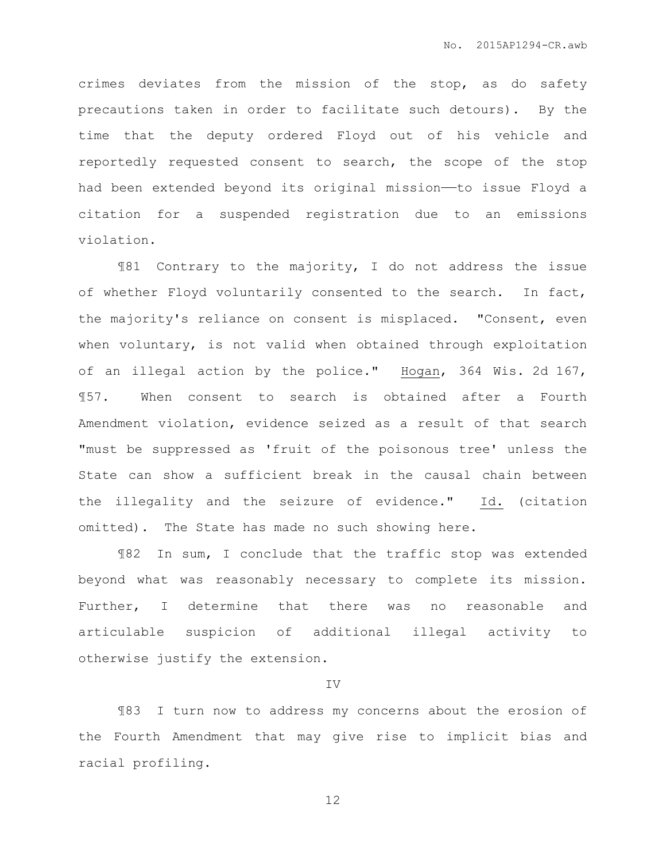crimes deviates from the mission of the stop, as do safety precautions taken in order to facilitate such detours). By the time that the deputy ordered Floyd out of his vehicle and reportedly requested consent to search, the scope of the stop had been extended beyond its original mission——to issue Floyd a citation for a suspended registration due to an emissions violation.

¶81 Contrary to the majority, I do not address the issue of whether Floyd voluntarily consented to the search. In fact, the majority's reliance on consent is misplaced. "Consent, even when voluntary, is not valid when obtained through exploitation of an illegal action by the police." Hogan, 364 Wis. 2d 167, ¶57. When consent to search is obtained after a Fourth Amendment violation, evidence seized as a result of that search "must be suppressed as 'fruit of the poisonous tree' unless the State can show a sufficient break in the causal chain between the illegality and the seizure of evidence." Id. (citation omitted). The State has made no such showing here.

¶82 In sum, I conclude that the traffic stop was extended beyond what was reasonably necessary to complete its mission. Further, I determine that there was no reasonable and articulable suspicion of additional illegal activity to otherwise justify the extension.

IV

¶83 I turn now to address my concerns about the erosion of the Fourth Amendment that may give rise to implicit bias and racial profiling.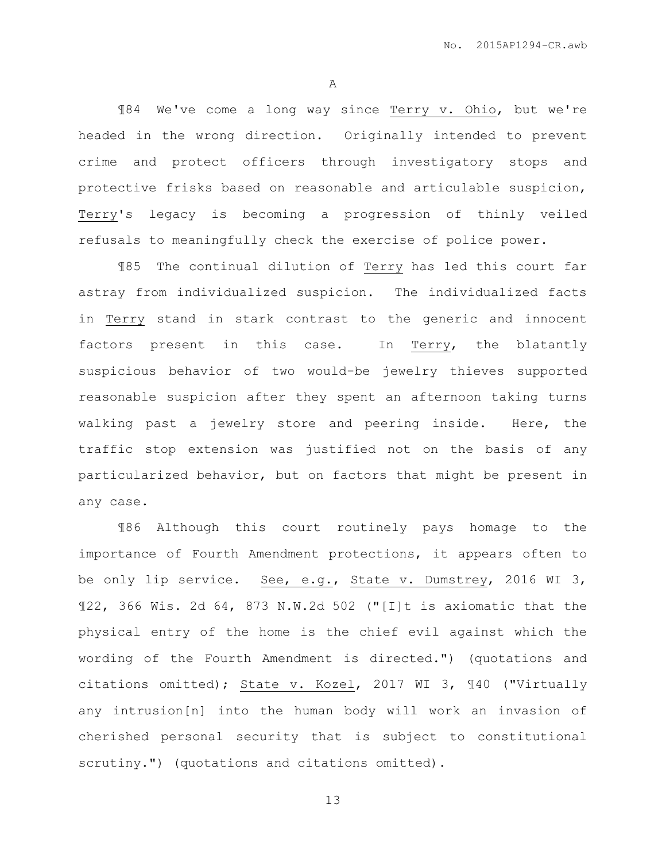A

¶84 We've come a long way since Terry v. Ohio, but we're headed in the wrong direction. Originally intended to prevent crime and protect officers through investigatory stops and protective frisks based on reasonable and articulable suspicion, Terry's legacy is becoming a progression of thinly veiled refusals to meaningfully check the exercise of police power.

¶85 The continual dilution of Terry has led this court far astray from individualized suspicion. The individualized facts in Terry stand in stark contrast to the generic and innocent factors present in this case. In Terry, the blatantly suspicious behavior of two would-be jewelry thieves supported reasonable suspicion after they spent an afternoon taking turns walking past a jewelry store and peering inside. Here, the traffic stop extension was justified not on the basis of any particularized behavior, but on factors that might be present in any case.

¶86 Although this court routinely pays homage to the importance of Fourth Amendment protections, it appears often to be only lip service. See, e.g., State v. Dumstrey, 2016 WI 3, ¶22, 366 Wis. 2d 64, 873 N.W.2d 502 ("[I]t is axiomatic that the physical entry of the home is the chief evil against which the wording of the Fourth Amendment is directed.") (quotations and citations omitted); State v. Kozel, 2017 WI 3, ¶40 ("Virtually any intrusion[n] into the human body will work an invasion of cherished personal security that is subject to constitutional scrutiny.") (quotations and citations omitted).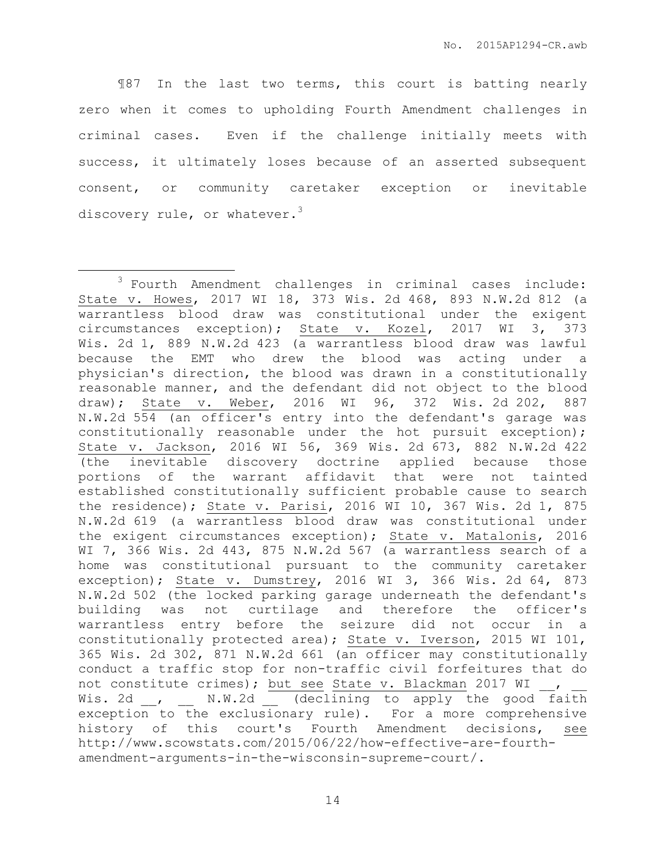¶87 In the last two terms, this court is batting nearly zero when it comes to upholding Fourth Amendment challenges in criminal cases. Even if the challenge initially meets with success, it ultimately loses because of an asserted subsequent consent, or community caretaker exception or inevitable discovery rule, or whatever.<sup>3</sup>

 $\overline{a}$ 

<sup>3</sup> Fourth Amendment challenges in criminal cases include: State v. Howes, 2017 WI 18, 373 Wis. 2d 468, 893 N.W.2d 812 (a warrantless blood draw was constitutional under the exigent circumstances exception); State v. Kozel, 2017 WI 3, 373 Wis. 2d 1, 889 N.W.2d 423 (a warrantless blood draw was lawful because the EMT who drew the blood was acting under a physician's direction, the blood was drawn in a constitutionally reasonable manner, and the defendant did not object to the blood draw); State v. Weber, 2016 WI 96, 372 Wis. 2d 202, 887 N.W.2d 554 (an officer's entry into the defendant's garage was constitutionally reasonable under the hot pursuit exception); State v. Jackson, 2016 WI 56, 369 Wis. 2d 673, 882 N.W.2d 422 (the inevitable discovery doctrine applied because those portions of the warrant affidavit that were not tainted established constitutionally sufficient probable cause to search the residence); State v. Parisi, 2016 WI 10, 367 Wis. 2d 1, 875 N.W.2d 619 (a warrantless blood draw was constitutional under the exigent circumstances exception); State v. Matalonis, 2016 WI 7, 366 Wis. 2d 443, 875 N.W.2d 567 (a warrantless search of a home was constitutional pursuant to the community caretaker exception); State v. Dumstrey, 2016 WI 3, 366 Wis. 2d 64, 873 N.W.2d 502 (the locked parking garage underneath the defendant's building was not curtilage and therefore the officer's warrantless entry before the seizure did not occur in a constitutionally protected area); State v. Iverson, 2015 WI 101, 365 Wis. 2d 302, 871 N.W.2d 661 (an officer may constitutionally conduct a traffic stop for non-traffic civil forfeitures that do not constitute crimes); but see State v. Blackman 2017 WI , Wis. 2d \_\_, \_\_ N.W.2d \_\_ (declining to apply the good faith exception to the exclusionary rule). For a more comprehensive history of this court's Fourth Amendment decisions, see http://www.scowstats.com/2015/06/22/how-effective-are-fourthamendment-arguments-in-the-wisconsin-supreme-court/.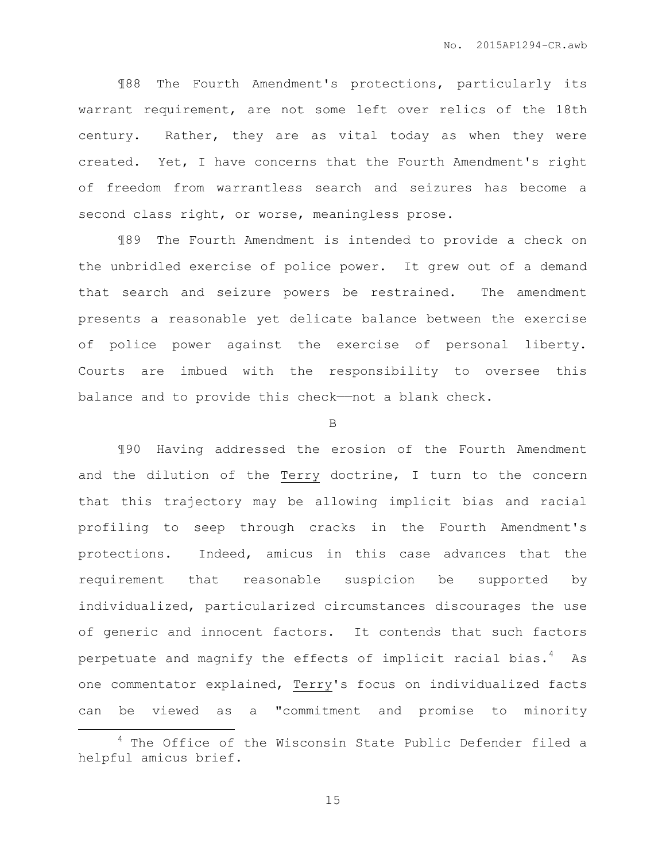¶88 The Fourth Amendment's protections, particularly its warrant requirement, are not some left over relics of the 18th century. Rather, they are as vital today as when they were created. Yet, I have concerns that the Fourth Amendment's right of freedom from warrantless search and seizures has become a second class right, or worse, meaningless prose.

¶89 The Fourth Amendment is intended to provide a check on the unbridled exercise of police power. It grew out of a demand that search and seizure powers be restrained. The amendment presents a reasonable yet delicate balance between the exercise of police power against the exercise of personal liberty. Courts are imbued with the responsibility to oversee this balance and to provide this check—not a blank check.

B

¶90 Having addressed the erosion of the Fourth Amendment and the dilution of the Terry doctrine, I turn to the concern that this trajectory may be allowing implicit bias and racial profiling to seep through cracks in the Fourth Amendment's protections. Indeed, amicus in this case advances that the requirement that reasonable suspicion be supported by individualized, particularized circumstances discourages the use of generic and innocent factors. It contends that such factors perpetuate and magnify the effects of implicit racial bias.<sup>4</sup> As one commentator explained, Terry's focus on individualized facts can be viewed as a "commitment and promise to minority

 $\overline{a}$ 

<sup>&</sup>lt;sup>4</sup> The Office of the Wisconsin State Public Defender filed a helpful amicus brief.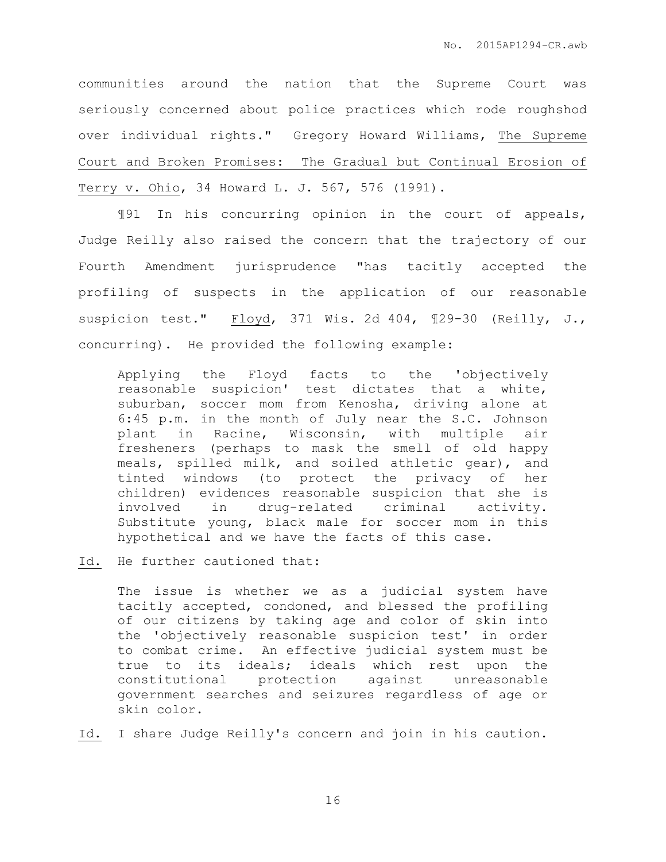communities around the nation that the Supreme Court was seriously concerned about police practices which rode roughshod over individual rights." Gregory Howard Williams, The Supreme Court and Broken Promises: The Gradual but Continual Erosion of Terry v. Ohio, 34 Howard L. J. 567, 576 (1991).

¶91 In his concurring opinion in the court of appeals, Judge Reilly also raised the concern that the trajectory of our Fourth Amendment jurisprudence "has tacitly accepted the profiling of suspects in the application of our reasonable suspicion test." Floyd, 371 Wis. 2d 404, ¶29-30 (Reilly, J., concurring). He provided the following example:

Applying the Floyd facts to the 'objectively reasonable suspicion' test dictates that a white, suburban, soccer mom from Kenosha, driving alone at 6:45 p.m. in the month of July near the S.C. Johnson plant in Racine, Wisconsin, with multiple air fresheners (perhaps to mask the smell of old happy meals, spilled milk, and soiled athletic gear), and tinted windows (to protect the privacy of her children) evidences reasonable suspicion that she is involved in drug-related criminal activity. Substitute young, black male for soccer mom in this hypothetical and we have the facts of this case.

Id. He further cautioned that:

The issue is whether we as a judicial system have tacitly accepted, condoned, and blessed the profiling of our citizens by taking age and color of skin into the 'objectively reasonable suspicion test' in order to combat crime. An effective judicial system must be true to its ideals; ideals which rest upon the constitutional protection against unreasonable government searches and seizures regardless of age or skin color.

Id. I share Judge Reilly's concern and join in his caution.